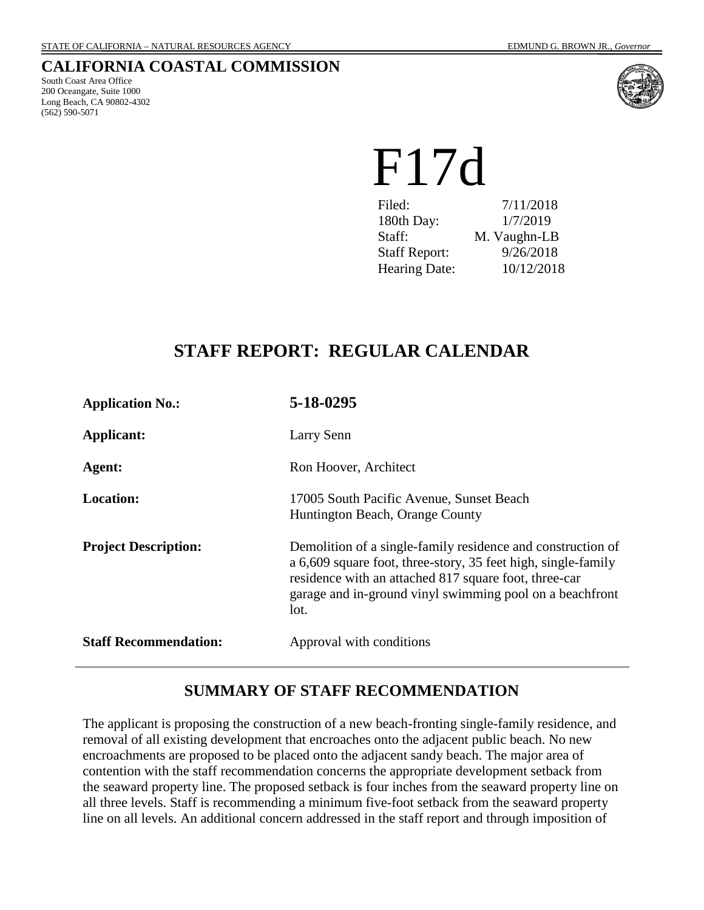#### **CALIFORNIA COASTAL COMMISSION**

South Coast Area Office 200 Oceangate, Suite 1000 Long Beach, CA 90802-4302 (562) 590-5071



# F17d

| Filed:               | 7/11/2018    |
|----------------------|--------------|
| 180th Day:           | 1/7/2019     |
| Staff:               | M. Vaughn-LB |
| <b>Staff Report:</b> | 9/26/2018    |
| <b>Hearing Date:</b> | 10/12/2018   |

# **STAFF REPORT: REGULAR CALENDAR**

| <b>Application No.:</b>      | 5-18-0295                                                                                                                                                                                                                                                 |
|------------------------------|-----------------------------------------------------------------------------------------------------------------------------------------------------------------------------------------------------------------------------------------------------------|
| <b>Applicant:</b>            | Larry Senn                                                                                                                                                                                                                                                |
| Agent:                       | Ron Hoover, Architect                                                                                                                                                                                                                                     |
| <b>Location:</b>             | 17005 South Pacific Avenue, Sunset Beach<br>Huntington Beach, Orange County                                                                                                                                                                               |
| <b>Project Description:</b>  | Demolition of a single-family residence and construction of<br>a 6,609 square foot, three-story, 35 feet high, single-family<br>residence with an attached 817 square foot, three-car<br>garage and in-ground vinyl swimming pool on a beachfront<br>lot. |
| <b>Staff Recommendation:</b> | Approval with conditions                                                                                                                                                                                                                                  |

# **SUMMARY OF STAFF RECOMMENDATION**

The applicant is proposing the construction of a new beach-fronting single-family residence, and removal of all existing development that encroaches onto the adjacent public beach. No new encroachments are proposed to be placed onto the adjacent sandy beach. The major area of contention with the staff recommendation concerns the appropriate development setback from the seaward property line. The proposed setback is four inches from the seaward property line on all three levels. Staff is recommending a minimum five-foot setback from the seaward property line on all levels. An additional concern addressed in the staff report and through imposition of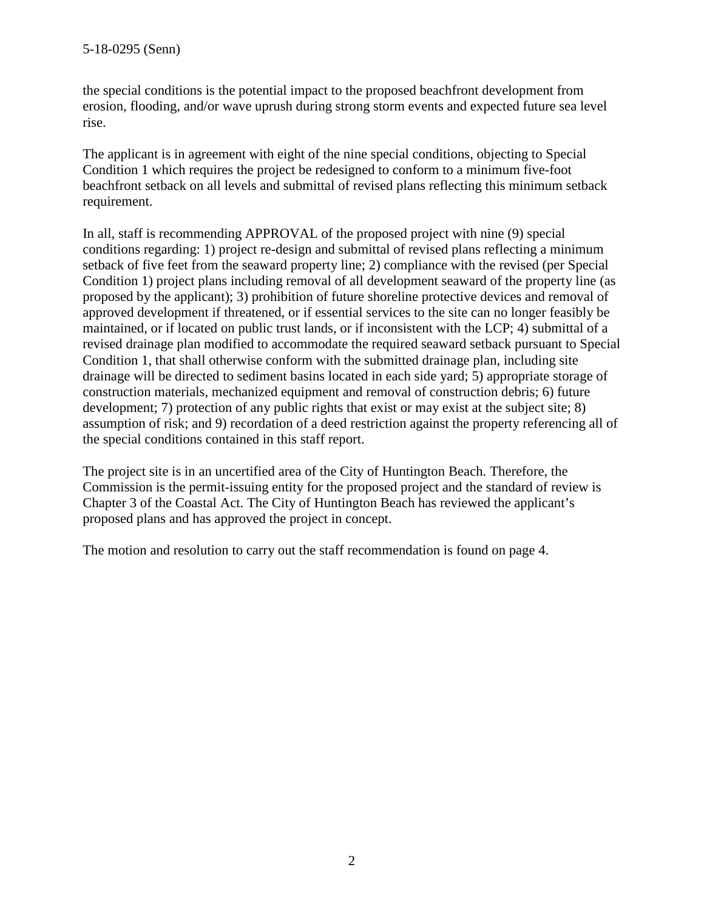the special conditions is the potential impact to the proposed beachfront development from erosion, flooding, and/or wave uprush during strong storm events and expected future sea level rise.

The applicant is in agreement with eight of the nine special conditions, objecting to Special Condition 1 which requires the project be redesigned to conform to a minimum five-foot beachfront setback on all levels and submittal of revised plans reflecting this minimum setback requirement.

In all, staff is recommending APPROVAL of the proposed project with nine (9) special conditions regarding: 1) project re-design and submittal of revised plans reflecting a minimum setback of five feet from the seaward property line; 2) compliance with the revised (per Special Condition 1) project plans including removal of all development seaward of the property line (as proposed by the applicant); 3) prohibition of future shoreline protective devices and removal of approved development if threatened, or if essential services to the site can no longer feasibly be maintained, or if located on public trust lands, or if inconsistent with the LCP; 4) submittal of a revised drainage plan modified to accommodate the required seaward setback pursuant to Special Condition 1, that shall otherwise conform with the submitted drainage plan, including site drainage will be directed to sediment basins located in each side yard; 5) appropriate storage of construction materials, mechanized equipment and removal of construction debris; 6) future development; 7) protection of any public rights that exist or may exist at the subject site; 8) assumption of risk; and 9) recordation of a deed restriction against the property referencing all of the special conditions contained in this staff report.

The project site is in an uncertified area of the City of Huntington Beach. Therefore, the Commission is the permit-issuing entity for the proposed project and the standard of review is Chapter 3 of the Coastal Act. The City of Huntington Beach has reviewed the applicant's proposed plans and has approved the project in concept.

The motion and resolution to carry out the staff recommendation is found on page 4.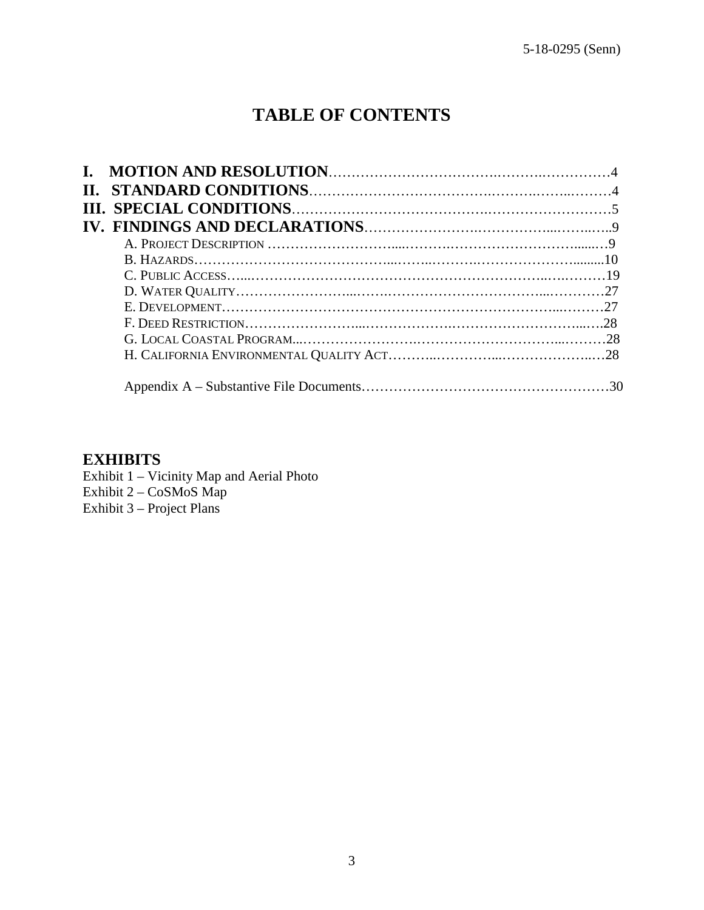# **TABLE OF CONTENTS**

# **EXHIBITS**

Exhibit 1 – Vicinity Map and Aerial Photo Exhibit 2 – CoSMoS Map Exhibit 3 – Project Plans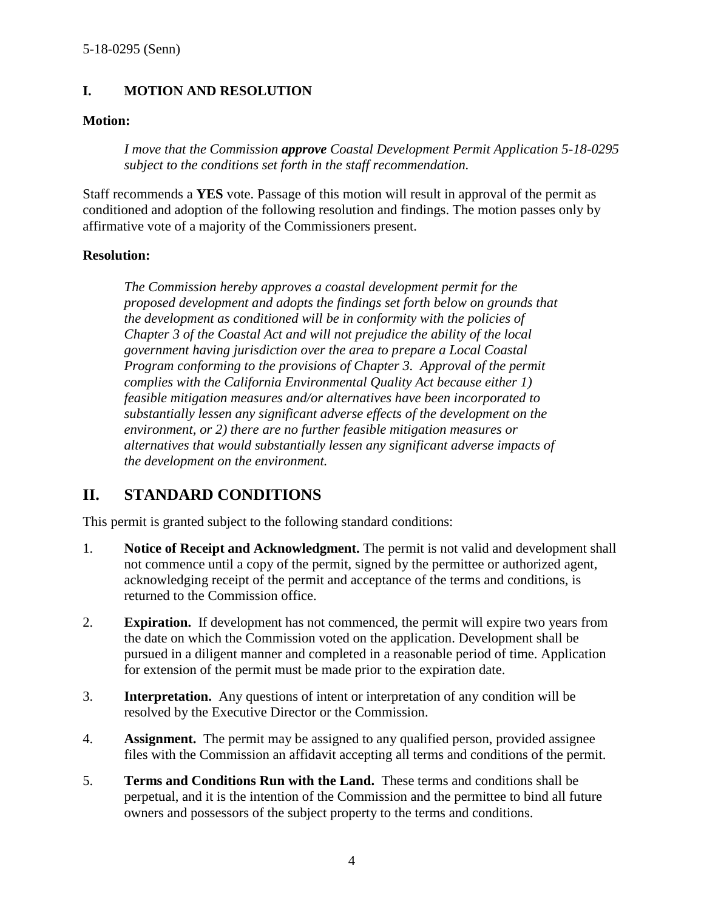#### **I. MOTION AND RESOLUTION**

#### **Motion:**

*I move that the Commission approve Coastal Development Permit Application 5-18-0295 subject to the conditions set forth in the staff recommendation.* 

Staff recommends a **YES** vote. Passage of this motion will result in approval of the permit as conditioned and adoption of the following resolution and findings. The motion passes only by affirmative vote of a majority of the Commissioners present.

#### **Resolution:**

*The Commission hereby approves a coastal development permit for the proposed development and adopts the findings set forth below on grounds that the development as conditioned will be in conformity with the policies of Chapter 3 of the Coastal Act and will not prejudice the ability of the local government having jurisdiction over the area to prepare a Local Coastal Program conforming to the provisions of Chapter 3. Approval of the permit complies with the California Environmental Quality Act because either 1) feasible mitigation measures and/or alternatives have been incorporated to substantially lessen any significant adverse effects of the development on the environment, or 2) there are no further feasible mitigation measures or alternatives that would substantially lessen any significant adverse impacts of the development on the environment.* 

# **II. STANDARD CONDITIONS**

This permit is granted subject to the following standard conditions:

- 1. **Notice of Receipt and Acknowledgment.** The permit is not valid and development shall not commence until a copy of the permit, signed by the permittee or authorized agent, acknowledging receipt of the permit and acceptance of the terms and conditions, is returned to the Commission office.
- 2. **Expiration.** If development has not commenced, the permit will expire two years from the date on which the Commission voted on the application. Development shall be pursued in a diligent manner and completed in a reasonable period of time. Application for extension of the permit must be made prior to the expiration date.
- 3. **Interpretation.** Any questions of intent or interpretation of any condition will be resolved by the Executive Director or the Commission.
- 4. **Assignment.** The permit may be assigned to any qualified person, provided assignee files with the Commission an affidavit accepting all terms and conditions of the permit.
- 5. **Terms and Conditions Run with the Land.** These terms and conditions shall be perpetual, and it is the intention of the Commission and the permittee to bind all future owners and possessors of the subject property to the terms and conditions.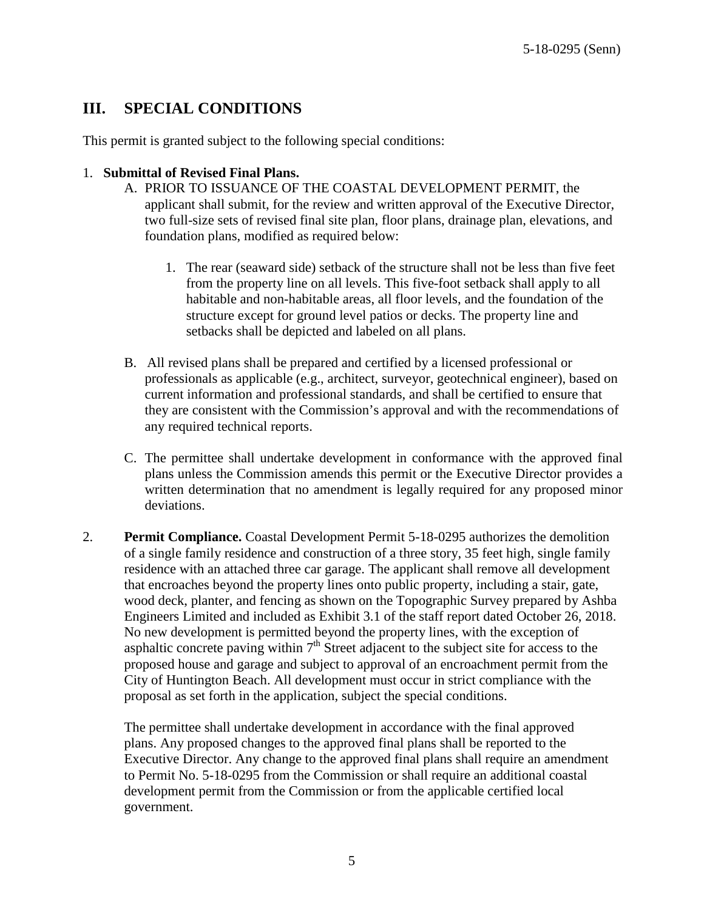# **III. SPECIAL CONDITIONS**

This permit is granted subject to the following special conditions:

#### 1. **Submittal of Revised Final Plans.**

- A. PRIOR TO ISSUANCE OF THE COASTAL DEVELOPMENT PERMIT, the applicant shall submit, for the review and written approval of the Executive Director, two full-size sets of revised final site plan, floor plans, drainage plan, elevations, and foundation plans, modified as required below:
	- 1. The rear (seaward side) setback of the structure shall not be less than five feet from the property line on all levels. This five-foot setback shall apply to all habitable and non-habitable areas, all floor levels, and the foundation of the structure except for ground level patios or decks. The property line and setbacks shall be depicted and labeled on all plans.
- B. All revised plans shall be prepared and certified by a licensed professional or professionals as applicable (e.g., architect, surveyor, geotechnical engineer), based on current information and professional standards, and shall be certified to ensure that they are consistent with the Commission's approval and with the recommendations of any required technical reports.
- C. The permittee shall undertake development in conformance with the approved final plans unless the Commission amends this permit or the Executive Director provides a written determination that no amendment is legally required for any proposed minor deviations.
- 2. **Permit Compliance.** Coastal Development Permit 5-18-0295 authorizes the demolition of a single family residence and construction of a three story, 35 feet high, single family residence with an attached three car garage. The applicant shall remove all development that encroaches beyond the property lines onto public property, including a stair, gate, wood deck, planter, and fencing as shown on the Topographic Survey prepared by Ashba Engineers Limited and included as Exhibit 3.1 of the staff report dated October 26, 2018. No new development is permitted beyond the property lines, with the exception of asphaltic concrete paving within  $7<sup>th</sup>$  Street adjacent to the subject site for access to the proposed house and garage and subject to approval of an encroachment permit from the City of Huntington Beach. All development must occur in strict compliance with the proposal as set forth in the application, subject the special conditions.

The permittee shall undertake development in accordance with the final approved plans. Any proposed changes to the approved final plans shall be reported to the Executive Director. Any change to the approved final plans shall require an amendment to Permit No. 5-18-0295 from the Commission or shall require an additional coastal development permit from the Commission or from the applicable certified local government.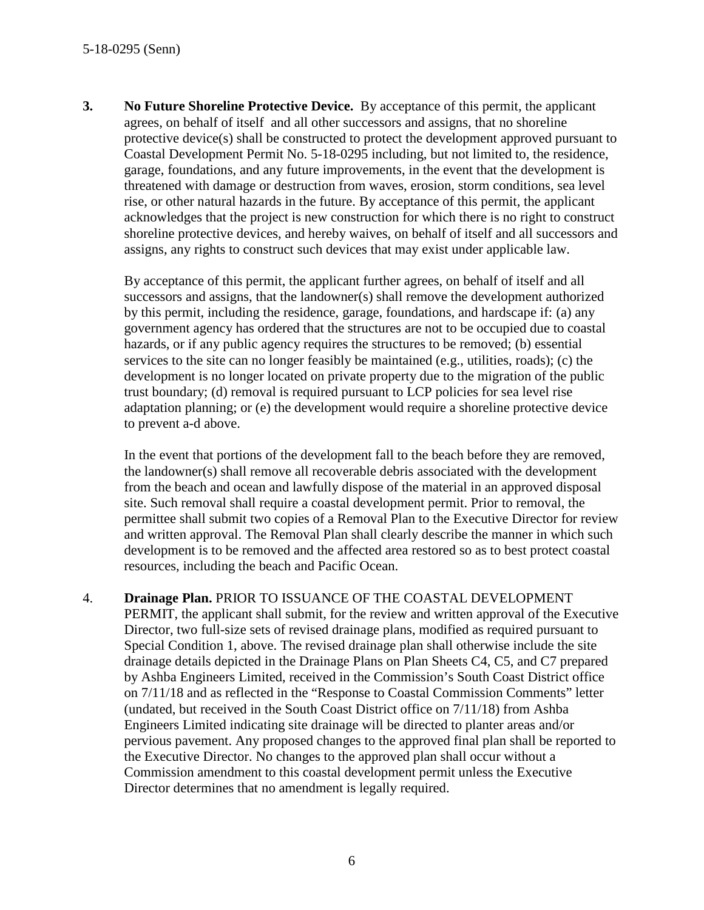**3. No Future Shoreline Protective Device.** By acceptance of this permit, the applicant agrees, on behalf of itself and all other successors and assigns, that no shoreline protective device(s) shall be constructed to protect the development approved pursuant to Coastal Development Permit No. 5-18-0295 including, but not limited to, the residence, garage, foundations, and any future improvements, in the event that the development is threatened with damage or destruction from waves, erosion, storm conditions, sea level rise, or other natural hazards in the future. By acceptance of this permit, the applicant acknowledges that the project is new construction for which there is no right to construct shoreline protective devices, and hereby waives, on behalf of itself and all successors and assigns, any rights to construct such devices that may exist under applicable law.

By acceptance of this permit, the applicant further agrees, on behalf of itself and all successors and assigns, that the landowner(s) shall remove the development authorized by this permit, including the residence, garage, foundations, and hardscape if: (a) any government agency has ordered that the structures are not to be occupied due to coastal hazards, or if any public agency requires the structures to be removed; (b) essential services to the site can no longer feasibly be maintained (e.g., utilities, roads); (c) the development is no longer located on private property due to the migration of the public trust boundary; (d) removal is required pursuant to LCP policies for sea level rise adaptation planning; or (e) the development would require a shoreline protective device to prevent a-d above.

In the event that portions of the development fall to the beach before they are removed, the landowner(s) shall remove all recoverable debris associated with the development from the beach and ocean and lawfully dispose of the material in an approved disposal site. Such removal shall require a coastal development permit. Prior to removal, the permittee shall submit two copies of a Removal Plan to the Executive Director for review and written approval. The Removal Plan shall clearly describe the manner in which such development is to be removed and the affected area restored so as to best protect coastal resources, including the beach and Pacific Ocean.

4. **Drainage Plan.** PRIOR TO ISSUANCE OF THE COASTAL DEVELOPMENT

PERMIT, the applicant shall submit, for the review and written approval of the Executive Director, two full-size sets of revised drainage plans, modified as required pursuant to Special Condition 1, above. The revised drainage plan shall otherwise include the site drainage details depicted in the Drainage Plans on Plan Sheets C4, C5, and C7 prepared by Ashba Engineers Limited, received in the Commission's South Coast District office on 7/11/18 and as reflected in the "Response to Coastal Commission Comments" letter (undated, but received in the South Coast District office on 7/11/18) from Ashba Engineers Limited indicating site drainage will be directed to planter areas and/or pervious pavement. Any proposed changes to the approved final plan shall be reported to the Executive Director. No changes to the approved plan shall occur without a Commission amendment to this coastal development permit unless the Executive Director determines that no amendment is legally required.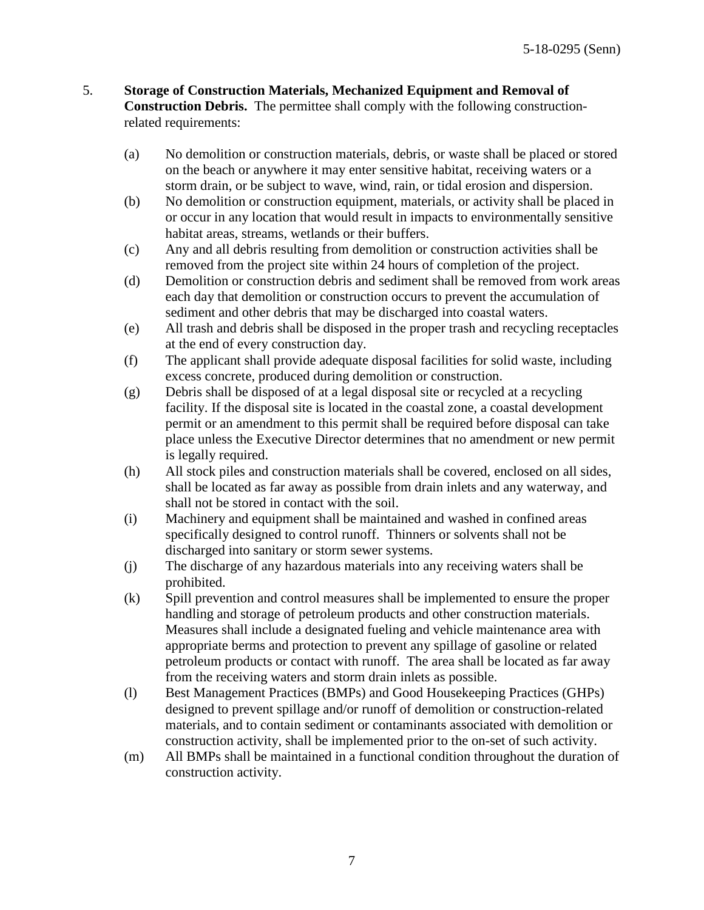- 5. **Storage of Construction Materials, Mechanized Equipment and Removal of Construction Debris.** The permittee shall comply with the following constructionrelated requirements:
	- (a) No demolition or construction materials, debris, or waste shall be placed or stored on the beach or anywhere it may enter sensitive habitat, receiving waters or a storm drain, or be subject to wave, wind, rain, or tidal erosion and dispersion.
	- (b) No demolition or construction equipment, materials, or activity shall be placed in or occur in any location that would result in impacts to environmentally sensitive habitat areas, streams, wetlands or their buffers.
	- (c) Any and all debris resulting from demolition or construction activities shall be removed from the project site within 24 hours of completion of the project.
	- (d) Demolition or construction debris and sediment shall be removed from work areas each day that demolition or construction occurs to prevent the accumulation of sediment and other debris that may be discharged into coastal waters.
	- (e) All trash and debris shall be disposed in the proper trash and recycling receptacles at the end of every construction day.
	- (f) The applicant shall provide adequate disposal facilities for solid waste, including excess concrete, produced during demolition or construction.
	- (g) Debris shall be disposed of at a legal disposal site or recycled at a recycling facility. If the disposal site is located in the coastal zone, a coastal development permit or an amendment to this permit shall be required before disposal can take place unless the Executive Director determines that no amendment or new permit is legally required.
	- (h) All stock piles and construction materials shall be covered, enclosed on all sides, shall be located as far away as possible from drain inlets and any waterway, and shall not be stored in contact with the soil.
	- (i) Machinery and equipment shall be maintained and washed in confined areas specifically designed to control runoff. Thinners or solvents shall not be discharged into sanitary or storm sewer systems.
	- (j) The discharge of any hazardous materials into any receiving waters shall be prohibited.
	- (k) Spill prevention and control measures shall be implemented to ensure the proper handling and storage of petroleum products and other construction materials. Measures shall include a designated fueling and vehicle maintenance area with appropriate berms and protection to prevent any spillage of gasoline or related petroleum products or contact with runoff. The area shall be located as far away from the receiving waters and storm drain inlets as possible.
	- (l) Best Management Practices (BMPs) and Good Housekeeping Practices (GHPs) designed to prevent spillage and/or runoff of demolition or construction-related materials, and to contain sediment or contaminants associated with demolition or construction activity, shall be implemented prior to the on-set of such activity.
	- (m) All BMPs shall be maintained in a functional condition throughout the duration of construction activity.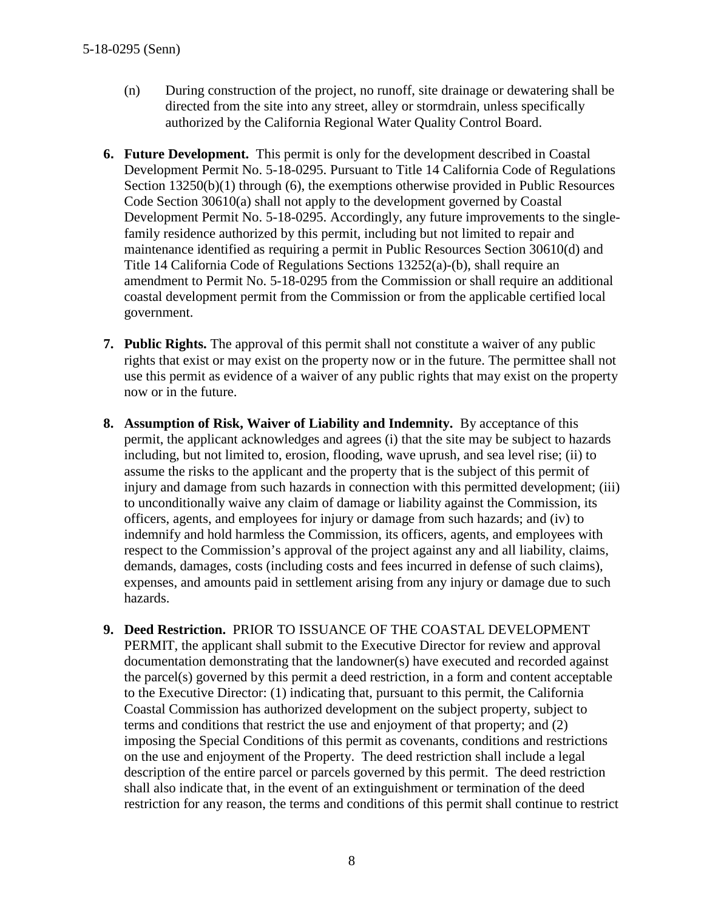- (n) During construction of the project, no runoff, site drainage or dewatering shall be directed from the site into any street, alley or stormdrain, unless specifically authorized by the California Regional Water Quality Control Board.
- **6. Future Development.** This permit is only for the development described in Coastal Development Permit No. 5-18-0295. Pursuant to Title 14 California Code of Regulations Section 13250(b)(1) through (6), the exemptions otherwise provided in Public Resources Code Section 30610(a) shall not apply to the development governed by Coastal Development Permit No. 5-18-0295. Accordingly, any future improvements to the singlefamily residence authorized by this permit, including but not limited to repair and maintenance identified as requiring a permit in Public Resources Section 30610(d) and Title 14 California Code of Regulations Sections 13252(a)-(b), shall require an amendment to Permit No. 5-18-0295 from the Commission or shall require an additional coastal development permit from the Commission or from the applicable certified local government.
- **7. Public Rights.** The approval of this permit shall not constitute a waiver of any public rights that exist or may exist on the property now or in the future. The permittee shall not use this permit as evidence of a waiver of any public rights that may exist on the property now or in the future.
- **8. Assumption of Risk, Waiver of Liability and Indemnity.** By acceptance of this permit, the applicant acknowledges and agrees (i) that the site may be subject to hazards including, but not limited to, erosion, flooding, wave uprush, and sea level rise; (ii) to assume the risks to the applicant and the property that is the subject of this permit of injury and damage from such hazards in connection with this permitted development; (iii) to unconditionally waive any claim of damage or liability against the Commission, its officers, agents, and employees for injury or damage from such hazards; and (iv) to indemnify and hold harmless the Commission, its officers, agents, and employees with respect to the Commission's approval of the project against any and all liability, claims, demands, damages, costs (including costs and fees incurred in defense of such claims), expenses, and amounts paid in settlement arising from any injury or damage due to such hazards.
- **9. Deed Restriction.** PRIOR TO ISSUANCE OF THE COASTAL DEVELOPMENT PERMIT, the applicant shall submit to the Executive Director for review and approval documentation demonstrating that the landowner(s) have executed and recorded against the parcel(s) governed by this permit a deed restriction, in a form and content acceptable to the Executive Director: (1) indicating that, pursuant to this permit, the California Coastal Commission has authorized development on the subject property, subject to terms and conditions that restrict the use and enjoyment of that property; and (2) imposing the Special Conditions of this permit as covenants, conditions and restrictions on the use and enjoyment of the Property. The deed restriction shall include a legal description of the entire parcel or parcels governed by this permit. The deed restriction shall also indicate that, in the event of an extinguishment or termination of the deed restriction for any reason, the terms and conditions of this permit shall continue to restrict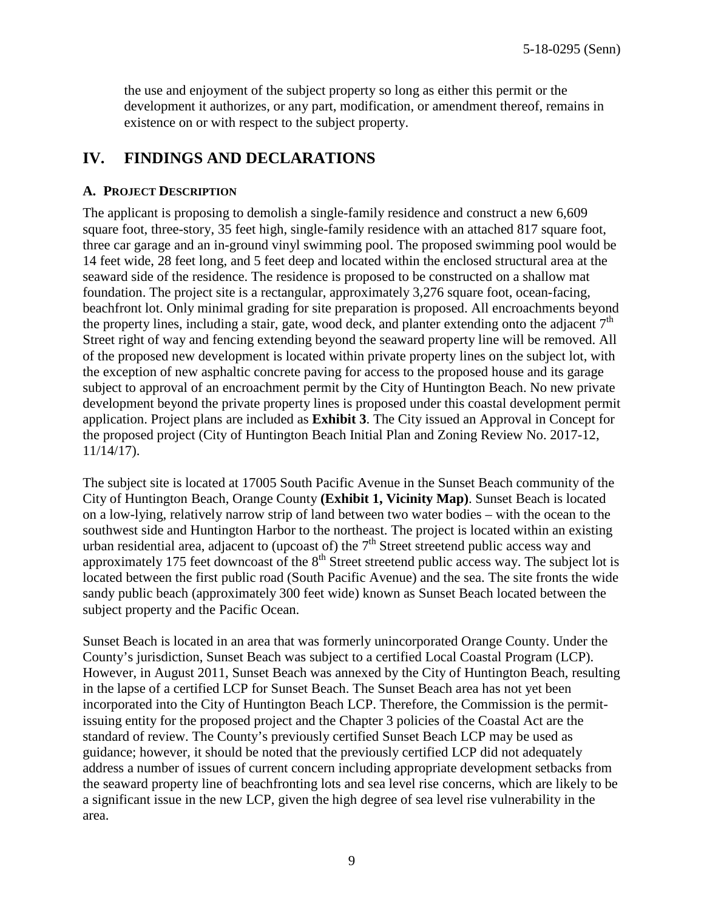the use and enjoyment of the subject property so long as either this permit or the development it authorizes, or any part, modification, or amendment thereof, remains in existence on or with respect to the subject property.

# **IV. FINDINGS AND DECLARATIONS**

#### **A. PROJECT DESCRIPTION**

The applicant is proposing to demolish a single-family residence and construct a new 6,609 square foot, three-story, 35 feet high, single-family residence with an attached 817 square foot, three car garage and an in-ground vinyl swimming pool. The proposed swimming pool would be 14 feet wide, 28 feet long, and 5 feet deep and located within the enclosed structural area at the seaward side of the residence. The residence is proposed to be constructed on a shallow mat foundation. The project site is a rectangular, approximately 3,276 square foot, ocean-facing, beachfront lot. Only minimal grading for site preparation is proposed. All encroachments beyond the property lines, including a stair, gate, wood deck, and planter extending onto the adjacent  $7<sup>th</sup>$ Street right of way and fencing extending beyond the seaward property line will be removed. All of the proposed new development is located within private property lines on the subject lot, with the exception of new asphaltic concrete paving for access to the proposed house and its garage subject to approval of an encroachment permit by the City of Huntington Beach. No new private development beyond the private property lines is proposed under this coastal development permit application. Project plans are included as **Exhibit 3**. The City issued an Approval in Concept for the proposed project (City of Huntington Beach Initial Plan and Zoning Review No. 2017-12, 11/14/17).

The subject site is located at 17005 South Pacific Avenue in the Sunset Beach community of the City of Huntington Beach, Orange County **(Exhibit 1, Vicinity Map)**. Sunset Beach is located on a low-lying, relatively narrow strip of land between two water bodies – with the ocean to the southwest side and Huntington Harbor to the northeast. The project is located within an existing urban residential area, adjacent to (upcoast of) the  $7<sup>th</sup>$  Street streetend public access way and approximately 175 feet downcoast of the  $8<sup>th</sup>$  Street streetend public access way. The subject lot is located between the first public road (South Pacific Avenue) and the sea. The site fronts the wide sandy public beach (approximately 300 feet wide) known as Sunset Beach located between the subject property and the Pacific Ocean.

Sunset Beach is located in an area that was formerly unincorporated Orange County. Under the County's jurisdiction, Sunset Beach was subject to a certified Local Coastal Program (LCP). However, in August 2011, Sunset Beach was annexed by the City of Huntington Beach, resulting in the lapse of a certified LCP for Sunset Beach. The Sunset Beach area has not yet been incorporated into the City of Huntington Beach LCP. Therefore, the Commission is the permitissuing entity for the proposed project and the Chapter 3 policies of the Coastal Act are the standard of review. The County's previously certified Sunset Beach LCP may be used as guidance; however, it should be noted that the previously certified LCP did not adequately address a number of issues of current concern including appropriate development setbacks from the seaward property line of beachfronting lots and sea level rise concerns, which are likely to be a significant issue in the new LCP, given the high degree of sea level rise vulnerability in the area.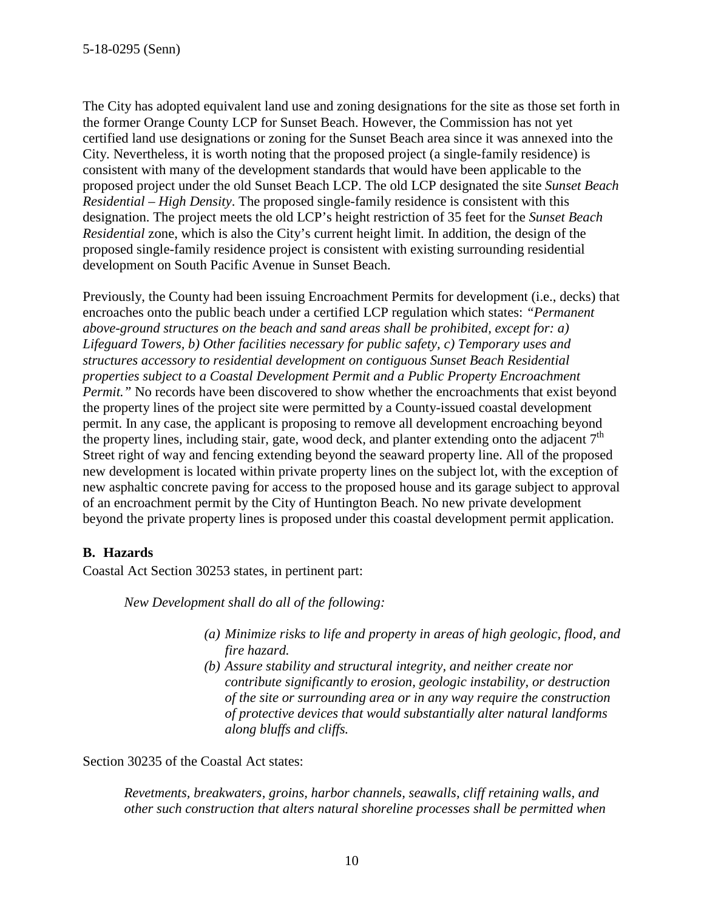The City has adopted equivalent land use and zoning designations for the site as those set forth in the former Orange County LCP for Sunset Beach. However, the Commission has not yet certified land use designations or zoning for the Sunset Beach area since it was annexed into the City. Nevertheless, it is worth noting that the proposed project (a single-family residence) is consistent with many of the development standards that would have been applicable to the proposed project under the old Sunset Beach LCP. The old LCP designated the site *Sunset Beach Residential – High Density*. The proposed single-family residence is consistent with this designation. The project meets the old LCP's height restriction of 35 feet for the *Sunset Beach Residential* zone, which is also the City's current height limit. In addition, the design of the proposed single-family residence project is consistent with existing surrounding residential development on South Pacific Avenue in Sunset Beach.

Previously, the County had been issuing Encroachment Permits for development (i.e., decks) that encroaches onto the public beach under a certified LCP regulation which states: *"Permanent above-ground structures on the beach and sand areas shall be prohibited, except for: a) Lifeguard Towers, b) Other facilities necessary for public safety, c) Temporary uses and structures accessory to residential development on contiguous Sunset Beach Residential properties subject to a Coastal Development Permit and a Public Property Encroachment Permit.*" No records have been discovered to show whether the encroachments that exist beyond the property lines of the project site were permitted by a County-issued coastal development permit. In any case, the applicant is proposing to remove all development encroaching beyond the property lines, including stair, gate, wood deck, and planter extending onto the adjacent  $7<sup>th</sup>$ Street right of way and fencing extending beyond the seaward property line. All of the proposed new development is located within private property lines on the subject lot, with the exception of new asphaltic concrete paving for access to the proposed house and its garage subject to approval of an encroachment permit by the City of Huntington Beach. No new private development beyond the private property lines is proposed under this coastal development permit application.

#### **B. Hazards**

Coastal Act Section 30253 states, in pertinent part:

*New Development shall do all of the following:* 

- *(a) Minimize risks to life and property in areas of high geologic, flood, and fire hazard.*
- *(b) Assure stability and structural integrity, and neither create nor contribute significantly to erosion, geologic instability, or destruction of the site or surrounding area or in any way require the construction of protective devices that would substantially alter natural landforms along bluffs and cliffs.*

Section 30235 of the Coastal Act states:

*Revetments, breakwaters, groins, harbor channels, seawalls, cliff retaining walls, and other such construction that alters natural shoreline processes shall be permitted when*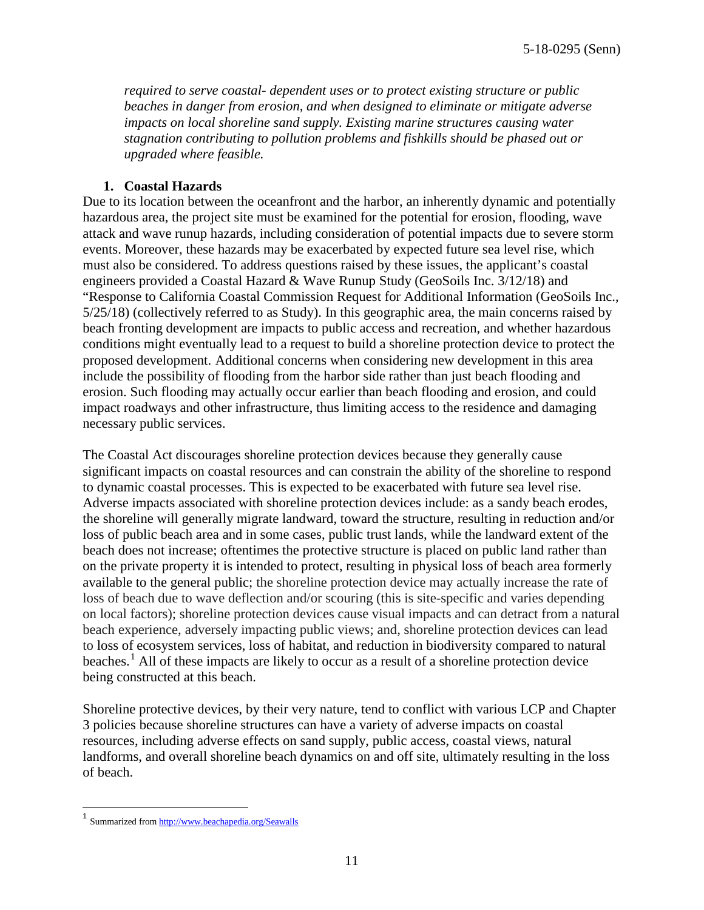*required to serve coastal- dependent uses or to protect existing structure or public beaches in danger from erosion, and when designed to eliminate or mitigate adverse impacts on local shoreline sand supply. Existing marine structures causing water stagnation contributing to pollution problems and fishkills should be phased out or upgraded where feasible.* 

#### **1. Coastal Hazards**

Due to its location between the oceanfront and the harbor, an inherently dynamic and potentially hazardous area, the project site must be examined for the potential for erosion, flooding, wave attack and wave runup hazards, including consideration of potential impacts due to severe storm events. Moreover, these hazards may be exacerbated by expected future sea level rise, which must also be considered. To address questions raised by these issues, the applicant's coastal engineers provided a Coastal Hazard & Wave Runup Study (GeoSoils Inc. 3/12/18) and "Response to California Coastal Commission Request for Additional Information (GeoSoils Inc., 5/25/18) (collectively referred to as Study). In this geographic area, the main concerns raised by beach fronting development are impacts to public access and recreation, and whether hazardous conditions might eventually lead to a request to build a shoreline protection device to protect the proposed development. Additional concerns when considering new development in this area include the possibility of flooding from the harbor side rather than just beach flooding and erosion. Such flooding may actually occur earlier than beach flooding and erosion, and could impact roadways and other infrastructure, thus limiting access to the residence and damaging necessary public services.

The Coastal Act discourages shoreline protection devices because they generally cause significant impacts on coastal resources and can constrain the ability of the shoreline to respond to dynamic coastal processes. This is expected to be exacerbated with future sea level rise. Adverse impacts associated with shoreline protection devices include: as a sandy beach erodes, the shoreline will generally migrate landward, toward the structure, resulting in reduction and/or loss of public beach area and in some cases, public trust lands, while the landward extent of the beach does not increase; oftentimes the protective structure is placed on public land rather than on the private property it is intended to protect, resulting in physical loss of beach area formerly available to the general public; the shoreline protection device may actually increase the rate of loss of beach due to wave deflection and/or scouring (this is site-specific and varies depending on local factors); shoreline protection devices cause visual impacts and can detract from a natural beach experience, adversely impacting public views; and, shoreline protection devices can lead to [loss of ecosystem services,](http://www.esajournals.org/doi/abs/10.1890/14-0716.1) [loss of habitat, and reduction in biodiversity](http://pubs.usgs.gov/sir/2010/5254/pdf/sir20105254_chap19.pdf) compared to natural beaches.<sup>[1](#page-10-0)</sup> All of these impacts are likely to occur as a result of a shoreline protection device being constructed at this beach.

Shoreline protective devices, by their very nature, tend to conflict with various LCP and Chapter 3 policies because shoreline structures can have a variety of adverse impacts on coastal resources, including adverse effects on sand supply, public access, coastal views, natural landforms, and overall shoreline beach dynamics on and off site, ultimately resulting in the loss of beach.

<span id="page-10-0"></span><sup>&</sup>lt;sup>1</sup> Summarized fro[m http://www.beachapedia.org/Seawalls](http://www.beachapedia.org/Seawalls)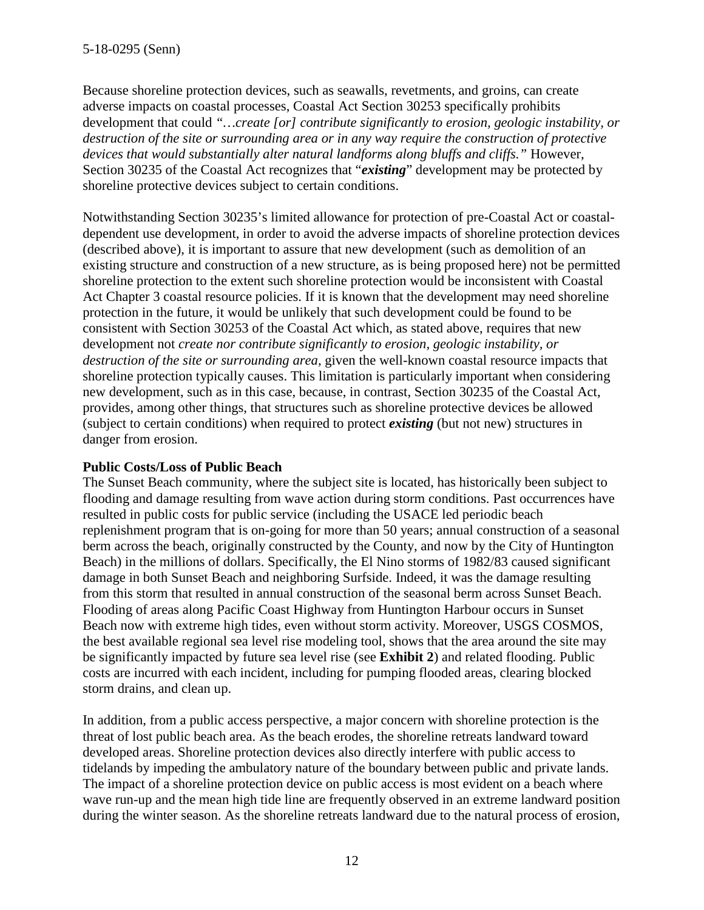Because shoreline protection devices, such as seawalls, revetments, and groins, can create adverse impacts on coastal processes, Coastal Act Section 30253 specifically prohibits development that could *"…create [or] contribute significantly to erosion, geologic instability, or destruction of the site or surrounding area or in any way require the construction of protective devices that would substantially alter natural landforms along bluffs and cliffs."* However, Section 30235 of the Coastal Act recognizes that "*existing*" development may be protected by shoreline protective devices subject to certain conditions.

Notwithstanding Section 30235's limited allowance for protection of pre-Coastal Act or coastaldependent use development, in order to avoid the adverse impacts of shoreline protection devices (described above), it is important to assure that new development (such as demolition of an existing structure and construction of a new structure, as is being proposed here) not be permitted shoreline protection to the extent such shoreline protection would be inconsistent with Coastal Act Chapter 3 coastal resource policies. If it is known that the development may need shoreline protection in the future, it would be unlikely that such development could be found to be consistent with Section 30253 of the Coastal Act which, as stated above, requires that new development not *create nor contribute significantly to erosion, geologic instability, or destruction of the site or surrounding area,* given the well-known coastal resource impacts that shoreline protection typically causes. This limitation is particularly important when considering new development, such as in this case, because, in contrast, Section 30235 of the Coastal Act, provides, among other things, that structures such as shoreline protective devices be allowed (subject to certain conditions) when required to protect *existing* (but not new) structures in danger from erosion.

#### **Public Costs/Loss of Public Beach**

The Sunset Beach community, where the subject site is located, has historically been subject to flooding and damage resulting from wave action during storm conditions. Past occurrences have resulted in public costs for public service (including the USACE led periodic beach replenishment program that is on-going for more than 50 years; annual construction of a seasonal berm across the beach, originally constructed by the County, and now by the City of Huntington Beach) in the millions of dollars. Specifically, the El Nino storms of 1982/83 caused significant damage in both Sunset Beach and neighboring Surfside. Indeed, it was the damage resulting from this storm that resulted in annual construction of the seasonal berm across Sunset Beach. Flooding of areas along Pacific Coast Highway from Huntington Harbour occurs in Sunset Beach now with extreme high tides, even without storm activity. Moreover, USGS COSMOS, the best available regional sea level rise modeling tool, shows that the area around the site may be significantly impacted by future sea level rise (see **Exhibit 2**) and related flooding. Public costs are incurred with each incident, including for pumping flooded areas, clearing blocked storm drains, and clean up.

In addition, from a public access perspective, a major concern with shoreline protection is the threat of lost public beach area. As the beach erodes, the shoreline retreats landward toward developed areas. Shoreline protection devices also directly interfere with public access to tidelands by impeding the ambulatory nature of the boundary between public and private lands. The impact of a shoreline protection device on public access is most evident on a beach where wave run-up and the mean high tide line are frequently observed in an extreme landward position during the winter season. As the shoreline retreats landward due to the natural process of erosion,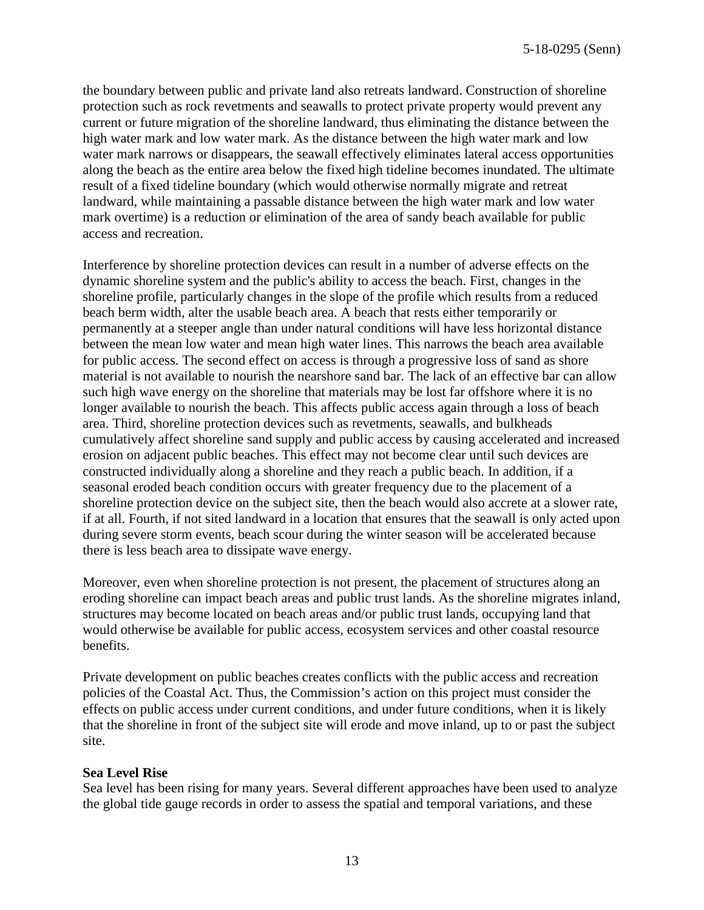the boundary between public and private land also retreats landward. Construction of shoreline protection such as rock revetments and seawalls to protect private property would prevent any current or future migration of the shoreline landward, thus eliminating the distance between the high water mark and low water mark. As the distance between the high water mark and low water mark narrows or disappears, the seawall effectively eliminates lateral access opportunities along the beach as the entire area below the fixed high tideline becomes inundated. The ultimate result of a fixed tideline boundary (which would otherwise normally migrate and retreat landward, while maintaining a passable distance between the high water mark and low water mark overtime) is a reduction or elimination of the area of sandy beach available for public access and recreation.

Interference by shoreline protection devices can result in a number of adverse effects on the dynamic shoreline system and the public's ability to access the beach. First, changes in the shoreline profile, particularly changes in the slope of the profile which results from a reduced beach berm width, alter the usable beach area. A beach that rests either temporarily or permanently at a steeper angle than under natural conditions will have less horizontal distance between the mean low water and mean high water lines. This narrows the beach area available for public access. The second effect on access is through a progressive loss of sand as shore material is not available to nourish the nearshore sand bar. The lack of an effective bar can allow such high wave energy on the shoreline that materials may be lost far offshore where it is no longer available to nourish the beach. This affects public access again through a loss of beach area. Third, shoreline protection devices such as revetments, seawalls, and bulkheads cumulatively affect shoreline sand supply and public access by causing accelerated and increased erosion on adjacent public beaches. This effect may not become clear until such devices are constructed individually along a shoreline and they reach a public beach. In addition, if a seasonal eroded beach condition occurs with greater frequency due to the placement of a shoreline protection device on the subject site, then the beach would also accrete at a slower rate, if at all. Fourth, if not sited landward in a location that ensures that the seawall is only acted upon during severe storm events, beach scour during the winter season will be accelerated because there is less beach area to dissipate wave energy.

Moreover, even when shoreline protection is not present, the placement of structures along an eroding shoreline can impact beach areas and public trust lands. As the shoreline migrates inland, structures may become located on beach areas and/or public trust lands, occupying land that would otherwise be available for public access, ecosystem services and other coastal resource benefits.

Private development on public beaches creates conflicts with the public access and recreation policies of the Coastal Act. Thus, the Commission's action on this project must consider the effects on public access under current conditions, and under future conditions, when it is likely that the shoreline in front of the subject site will erode and move inland, up to or past the subject site.

#### **Sea Level Rise**

Sea level has been rising for many years. Several different approaches have been used to analyze the global tide gauge records in order to assess the spatial and temporal variations, and these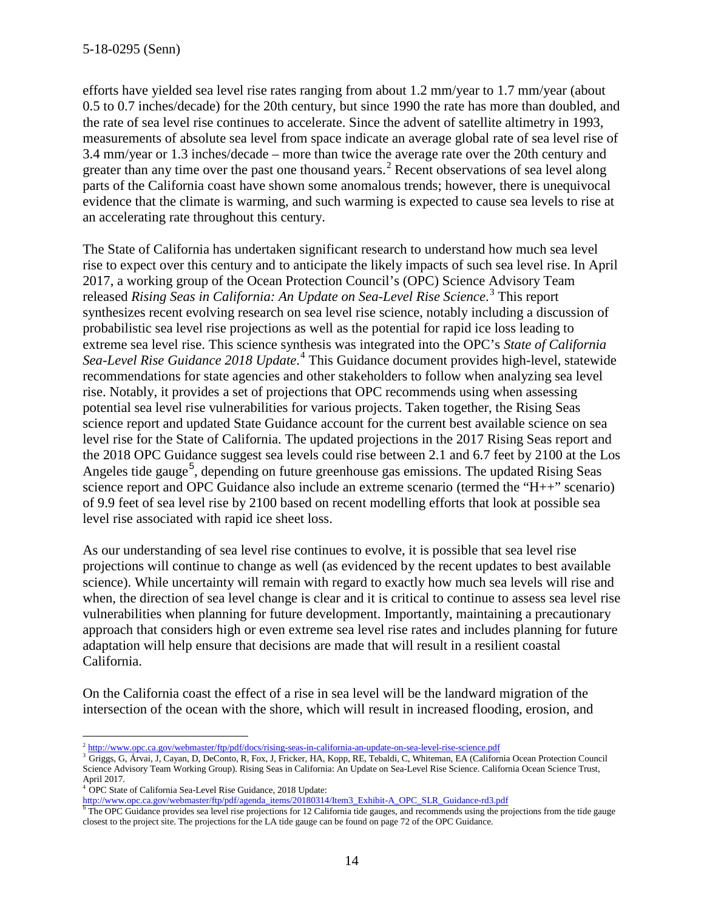efforts have yielded sea level rise rates ranging from about 1.2 mm/year to 1.7 mm/year (about 0.5 to 0.7 inches/decade) for the 20th century, but since 1990 the rate has more than doubled, and the rate of sea level rise continues to accelerate. Since the advent of satellite altimetry in 1993, measurements of absolute sea level from space indicate an average global rate of sea level rise of 3.4 mm/year or 1.3 inches/decade – more than twice the average rate over the 20th century and greater than any time over the past one thousand years.<sup>[2](#page-13-0)</sup> Recent observations of sea level along parts of the California coast have shown some anomalous trends; however, there is unequivocal evidence that the climate is warming, and such warming is expected to cause sea levels to rise at an accelerating rate throughout this century.

The State of California has undertaken significant research to understand how much sea level rise to expect over this century and to anticipate the likely impacts of such sea level rise. In April 2017, a working group of the Ocean Protection Council's (OPC) Science Advisory Team released *Rising Seas in California: An Update on Sea-Level Rise Science*. [3](#page-13-1) This report synthesizes recent evolving research on sea level rise science, notably including a discussion of probabilistic sea level rise projections as well as the potential for rapid ice loss leading to extreme sea level rise. This science synthesis was integrated into the OPC's *State of California*  Sea-Level Rise Guidance 2018 Update.<sup>[4](#page-13-2)</sup> This Guidance document provides high-level, statewide recommendations for state agencies and other stakeholders to follow when analyzing sea level rise. Notably, it provides a set of projections that OPC recommends using when assessing potential sea level rise vulnerabilities for various projects. Taken together, the Rising Seas science report and updated State Guidance account for the current best available science on sea level rise for the State of California. The updated projections in the 2017 Rising Seas report and the 2018 OPC Guidance suggest sea levels could rise between 2.1 and 6.7 feet by 2100 at the Los Angeles tide gauge<sup>[5](#page-13-3)</sup>, depending on future greenhouse gas emissions. The updated Rising Seas science report and OPC Guidance also include an extreme scenario (termed the "H++" scenario) of 9.9 feet of sea level rise by 2100 based on recent modelling efforts that look at possible sea level rise associated with rapid ice sheet loss.

As our understanding of sea level rise continues to evolve, it is possible that sea level rise projections will continue to change as well (as evidenced by the recent updates to best available science). While uncertainty will remain with regard to exactly how much sea levels will rise and when, the direction of sea level change is clear and it is critical to continue to assess sea level rise vulnerabilities when planning for future development. Importantly, maintaining a precautionary approach that considers high or even extreme sea level rise rates and includes planning for future adaptation will help ensure that decisions are made that will result in a resilient coastal California.

On the California coast the effect of a rise in sea level will be the landward migration of the intersection of the ocean with the shore, which will result in increased flooding, erosion, and

 $\overline{a}$ <sup>2</sup> <http://www.opc.ca.gov/webmaster/ftp/pdf/docs/rising-seas-in-california-an-update-on-sea-level-rise-science.pdf>

<span id="page-13-1"></span><span id="page-13-0"></span><sup>&</sup>lt;sup>3</sup> Griggs, G, Árvai, J, Cayan, D, DeConto, R, Fox, J, Fricker, HA, Kopp, RE, Tebaldi, C, Whiteman, EA (California Ocean Protection Council Science Advisory Team Working Group). Rising Seas in California: An Update on Sea-Level Rise Science. California Ocean Science Trust, April 2017.

<sup>4</sup> OPC State of California Sea-Level Rise Guidance, 2018 Update:

<span id="page-13-3"></span><span id="page-13-2"></span>http://www.opc.ca.gov/webmaster/ftp/pdf/agenda\_items/20180314/Item3\_Exhibit-A\_OPC\_SLR\_Guidance-rd3.pdf<br><sup>5</sup>The OPC Guidance provides sea level rise projections for 12 California tide gauges, and recommends using the project closest to the project site. The projections for the LA tide gauge can be found on page 72 of the OPC Guidance.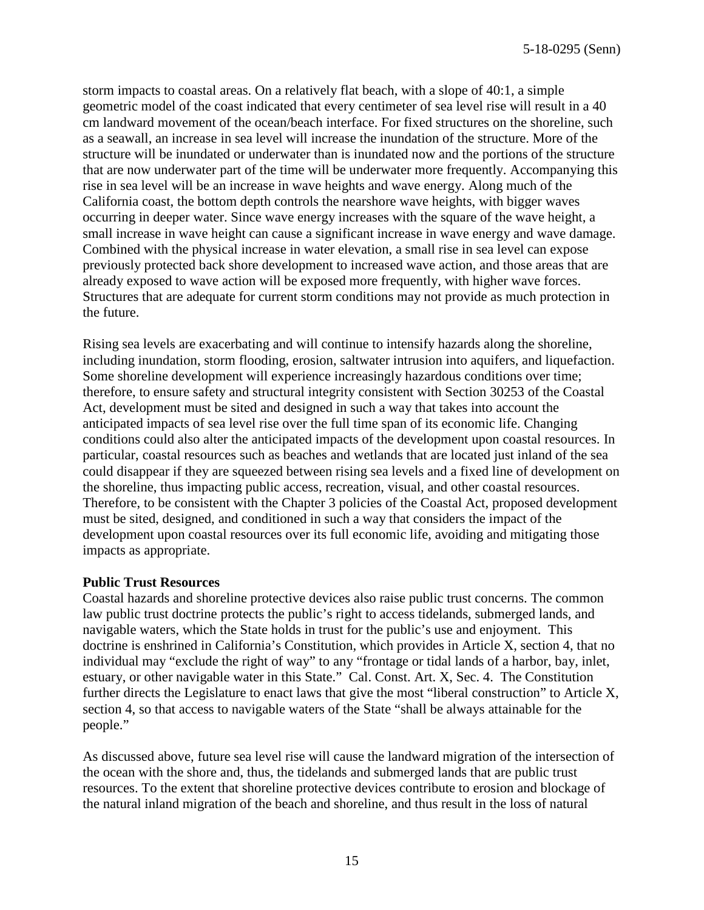storm impacts to coastal areas. On a relatively flat beach, with a slope of 40:1, a simple geometric model of the coast indicated that every centimeter of sea level rise will result in a 40 cm landward movement of the ocean/beach interface. For fixed structures on the shoreline, such as a seawall, an increase in sea level will increase the inundation of the structure. More of the structure will be inundated or underwater than is inundated now and the portions of the structure that are now underwater part of the time will be underwater more frequently. Accompanying this rise in sea level will be an increase in wave heights and wave energy. Along much of the California coast, the bottom depth controls the nearshore wave heights, with bigger waves occurring in deeper water. Since wave energy increases with the square of the wave height, a small increase in wave height can cause a significant increase in wave energy and wave damage. Combined with the physical increase in water elevation, a small rise in sea level can expose previously protected back shore development to increased wave action, and those areas that are already exposed to wave action will be exposed more frequently, with higher wave forces. Structures that are adequate for current storm conditions may not provide as much protection in the future.

Rising sea levels are exacerbating and will continue to intensify hazards along the shoreline, including inundation, storm flooding, erosion, saltwater intrusion into aquifers, and liquefaction. Some shoreline development will experience increasingly hazardous conditions over time; therefore, to ensure safety and structural integrity consistent with Section 30253 of the Coastal Act, development must be sited and designed in such a way that takes into account the anticipated impacts of sea level rise over the full time span of its economic life. Changing conditions could also alter the anticipated impacts of the development upon coastal resources. In particular, coastal resources such as beaches and wetlands that are located just inland of the sea could disappear if they are squeezed between rising sea levels and a fixed line of development on the shoreline, thus impacting public access, recreation, visual, and other coastal resources. Therefore, to be consistent with the Chapter 3 policies of the Coastal Act, proposed development must be sited, designed, and conditioned in such a way that considers the impact of the development upon coastal resources over its full economic life, avoiding and mitigating those impacts as appropriate.

#### **Public Trust Resources**

Coastal hazards and shoreline protective devices also raise public trust concerns. The common law public trust doctrine protects the public's right to access tidelands, submerged lands, and navigable waters, which the State holds in trust for the public's use and enjoyment. This doctrine is enshrined in California's Constitution, which provides in Article X, section 4, that no individual may "exclude the right of way" to any "frontage or tidal lands of a harbor, bay, inlet, estuary, or other navigable water in this State." Cal. Const. Art. X, Sec. 4. The Constitution further directs the Legislature to enact laws that give the most "liberal construction" to Article X, section 4, so that access to navigable waters of the State "shall be always attainable for the people."

As discussed above, future sea level rise will cause the landward migration of the intersection of the ocean with the shore and, thus, the tidelands and submerged lands that are public trust resources. To the extent that shoreline protective devices contribute to erosion and blockage of the natural inland migration of the beach and shoreline, and thus result in the loss of natural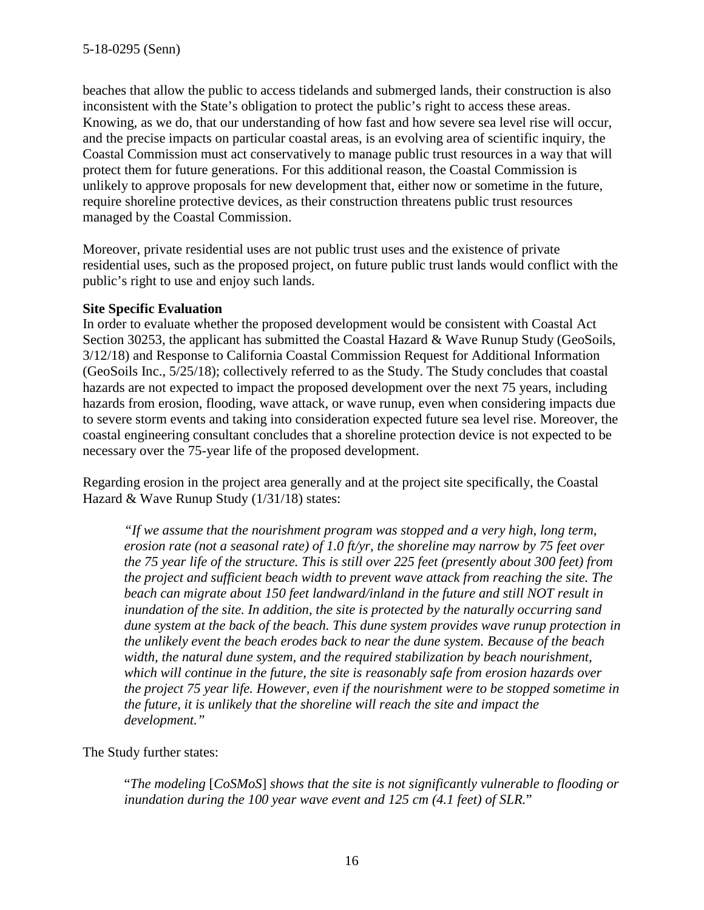beaches that allow the public to access tidelands and submerged lands, their construction is also inconsistent with the State's obligation to protect the public's right to access these areas. Knowing, as we do, that our understanding of how fast and how severe sea level rise will occur, and the precise impacts on particular coastal areas, is an evolving area of scientific inquiry, the Coastal Commission must act conservatively to manage public trust resources in a way that will protect them for future generations. For this additional reason, the Coastal Commission is unlikely to approve proposals for new development that, either now or sometime in the future, require shoreline protective devices, as their construction threatens public trust resources managed by the Coastal Commission.

Moreover, private residential uses are not public trust uses and the existence of private residential uses, such as the proposed project, on future public trust lands would conflict with the public's right to use and enjoy such lands.

#### **Site Specific Evaluation**

In order to evaluate whether the proposed development would be consistent with Coastal Act Section 30253, the applicant has submitted the Coastal Hazard & Wave Runup Study (GeoSoils, 3/12/18) and Response to California Coastal Commission Request for Additional Information (GeoSoils Inc., 5/25/18); collectively referred to as the Study. The Study concludes that coastal hazards are not expected to impact the proposed development over the next 75 years, including hazards from erosion, flooding, wave attack, or wave runup, even when considering impacts due to severe storm events and taking into consideration expected future sea level rise. Moreover, the coastal engineering consultant concludes that a shoreline protection device is not expected to be necessary over the 75-year life of the proposed development.

Regarding erosion in the project area generally and at the project site specifically, the Coastal Hazard & Wave Runup Study (1/31/18) states:

*"If we assume that the nourishment program was stopped and a very high, long term, erosion rate (not a seasonal rate) of 1.0 ft/yr, the shoreline may narrow by 75 feet over the 75 year life of the structure. This is still over 225 feet (presently about 300 feet) from the project and sufficient beach width to prevent wave attack from reaching the site. The beach can migrate about 150 feet landward/inland in the future and still NOT result in inundation of the site. In addition, the site is protected by the naturally occurring sand dune system at the back of the beach. This dune system provides wave runup protection in the unlikely event the beach erodes back to near the dune system. Because of the beach width, the natural dune system, and the required stabilization by beach nourishment, which will continue in the future, the site is reasonably safe from erosion hazards over the project 75 year life. However, even if the nourishment were to be stopped sometime in the future, it is unlikely that the shoreline will reach the site and impact the development."* 

#### The Study further states:

"*The modeling* [*CoSMoS*] *shows that the site is not significantly vulnerable to flooding or inundation during the 100 year wave event and 125 cm (4.1 feet) of SLR.*"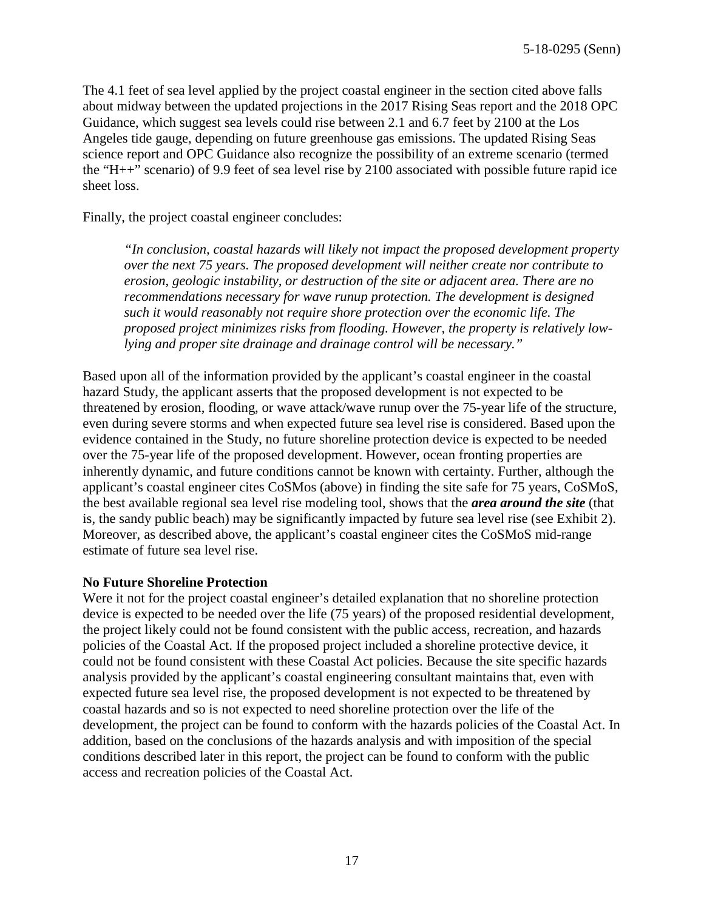The 4.1 feet of sea level applied by the project coastal engineer in the section cited above falls about midway between the updated projections in the 2017 Rising Seas report and the 2018 OPC Guidance, which suggest sea levels could rise between 2.1 and 6.7 feet by 2100 at the Los Angeles tide gauge, depending on future greenhouse gas emissions. The updated Rising Seas science report and OPC Guidance also recognize the possibility of an extreme scenario (termed the "H++" scenario) of 9.9 feet of sea level rise by 2100 associated with possible future rapid ice sheet loss.

Finally, the project coastal engineer concludes:

*"In conclusion, coastal hazards will likely not impact the proposed development property over the next 75 years. The proposed development will neither create nor contribute to erosion, geologic instability, or destruction of the site or adjacent area. There are no recommendations necessary for wave runup protection. The development is designed such it would reasonably not require shore protection over the economic life. The proposed project minimizes risks from flooding. However, the property is relatively lowlying and proper site drainage and drainage control will be necessary."*

Based upon all of the information provided by the applicant's coastal engineer in the coastal hazard Study, the applicant asserts that the proposed development is not expected to be threatened by erosion, flooding, or wave attack/wave runup over the 75-year life of the structure, even during severe storms and when expected future sea level rise is considered. Based upon the evidence contained in the Study, no future shoreline protection device is expected to be needed over the 75-year life of the proposed development. However, ocean fronting properties are inherently dynamic, and future conditions cannot be known with certainty. Further, although the applicant's coastal engineer cites CoSMos (above) in finding the site safe for 75 years, CoSMoS, the best available regional sea level rise modeling tool, shows that the *area around the site* (that is, the sandy public beach) may be significantly impacted by future sea level rise (see Exhibit 2). Moreover, as described above, the applicant's coastal engineer cites the CoSMoS mid-range estimate of future sea level rise.

#### **No Future Shoreline Protection**

Were it not for the project coastal engineer's detailed explanation that no shoreline protection device is expected to be needed over the life (75 years) of the proposed residential development, the project likely could not be found consistent with the public access, recreation, and hazards policies of the Coastal Act. If the proposed project included a shoreline protective device, it could not be found consistent with these Coastal Act policies. Because the site specific hazards analysis provided by the applicant's coastal engineering consultant maintains that, even with expected future sea level rise, the proposed development is not expected to be threatened by coastal hazards and so is not expected to need shoreline protection over the life of the development, the project can be found to conform with the hazards policies of the Coastal Act. In addition, based on the conclusions of the hazards analysis and with imposition of the special conditions described later in this report, the project can be found to conform with the public access and recreation policies of the Coastal Act.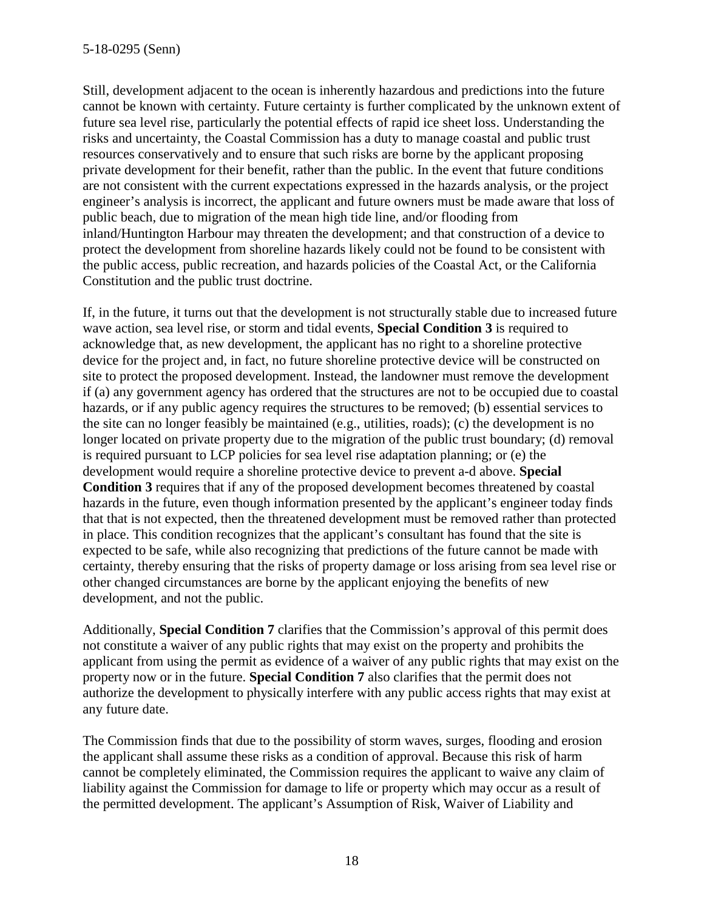Still, development adjacent to the ocean is inherently hazardous and predictions into the future cannot be known with certainty. Future certainty is further complicated by the unknown extent of future sea level rise, particularly the potential effects of rapid ice sheet loss. Understanding the risks and uncertainty, the Coastal Commission has a duty to manage coastal and public trust resources conservatively and to ensure that such risks are borne by the applicant proposing private development for their benefit, rather than the public. In the event that future conditions are not consistent with the current expectations expressed in the hazards analysis, or the project engineer's analysis is incorrect, the applicant and future owners must be made aware that loss of public beach, due to migration of the mean high tide line, and/or flooding from inland/Huntington Harbour may threaten the development; and that construction of a device to protect the development from shoreline hazards likely could not be found to be consistent with the public access, public recreation, and hazards policies of the Coastal Act, or the California Constitution and the public trust doctrine.

If, in the future, it turns out that the development is not structurally stable due to increased future wave action, sea level rise, or storm and tidal events, **Special Condition 3** is required to acknowledge that, as new development, the applicant has no right to a shoreline protective device for the project and, in fact, no future shoreline protective device will be constructed on site to protect the proposed development. Instead, the landowner must remove the development if (a) any government agency has ordered that the structures are not to be occupied due to coastal hazards, or if any public agency requires the structures to be removed; (b) essential services to the site can no longer feasibly be maintained (e.g., utilities, roads); (c) the development is no longer located on private property due to the migration of the public trust boundary; (d) removal is required pursuant to LCP policies for sea level rise adaptation planning; or (e) the development would require a shoreline protective device to prevent a-d above. **Special Condition 3** requires that if any of the proposed development becomes threatened by coastal hazards in the future, even though information presented by the applicant's engineer today finds that that is not expected, then the threatened development must be removed rather than protected in place. This condition recognizes that the applicant's consultant has found that the site is expected to be safe, while also recognizing that predictions of the future cannot be made with certainty, thereby ensuring that the risks of property damage or loss arising from sea level rise or other changed circumstances are borne by the applicant enjoying the benefits of new development, and not the public.

Additionally, **Special Condition 7** clarifies that the Commission's approval of this permit does not constitute a waiver of any public rights that may exist on the property and prohibits the applicant from using the permit as evidence of a waiver of any public rights that may exist on the property now or in the future. **Special Condition 7** also clarifies that the permit does not authorize the development to physically interfere with any public access rights that may exist at any future date.

The Commission finds that due to the possibility of storm waves, surges, flooding and erosion the applicant shall assume these risks as a condition of approval. Because this risk of harm cannot be completely eliminated, the Commission requires the applicant to waive any claim of liability against the Commission for damage to life or property which may occur as a result of the permitted development. The applicant's Assumption of Risk, Waiver of Liability and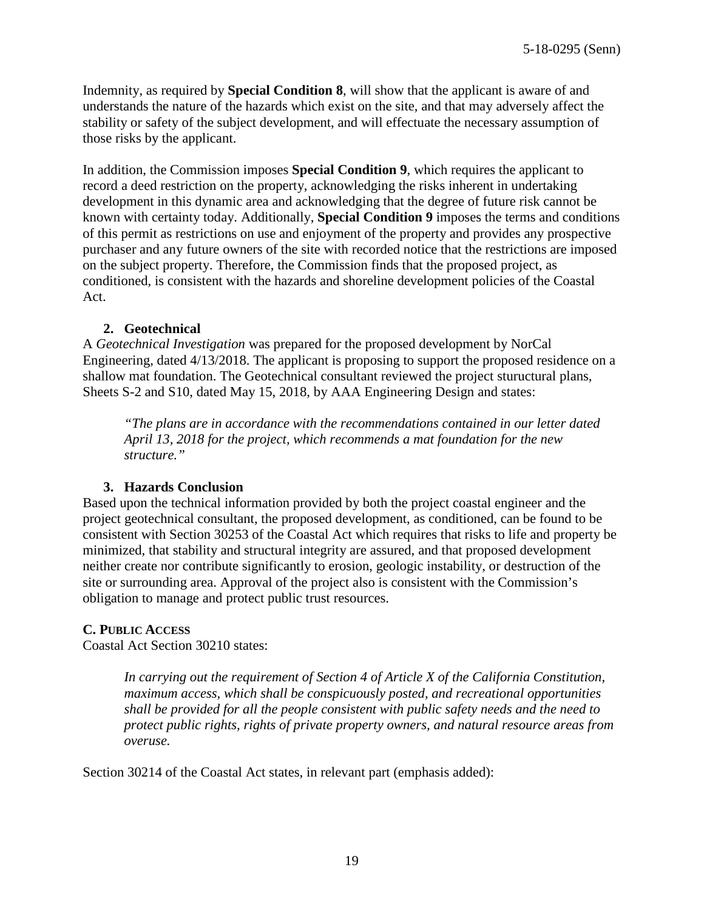Indemnity, as required by **Special Condition 8**, will show that the applicant is aware of and understands the nature of the hazards which exist on the site, and that may adversely affect the stability or safety of the subject development, and will effectuate the necessary assumption of those risks by the applicant.

In addition, the Commission imposes **Special Condition 9**, which requires the applicant to record a deed restriction on the property, acknowledging the risks inherent in undertaking development in this dynamic area and acknowledging that the degree of future risk cannot be known with certainty today. Additionally, **Special Condition 9** imposes the terms and conditions of this permit as restrictions on use and enjoyment of the property and provides any prospective purchaser and any future owners of the site with recorded notice that the restrictions are imposed on the subject property. Therefore, the Commission finds that the proposed project, as conditioned, is consistent with the hazards and shoreline development policies of the Coastal Act.

#### **2. Geotechnical**

A *Geotechnical Investigation* was prepared for the proposed development by NorCal Engineering, dated 4/13/2018. The applicant is proposing to support the proposed residence on a shallow mat foundation. The Geotechnical consultant reviewed the project stuructural plans, Sheets S-2 and S10, dated May 15, 2018, by AAA Engineering Design and states:

*"The plans are in accordance with the recommendations contained in our letter dated April 13, 2018 for the project, which recommends a mat foundation for the new structure."* 

#### **3. Hazards Conclusion**

Based upon the technical information provided by both the project coastal engineer and the project geotechnical consultant, the proposed development, as conditioned, can be found to be consistent with Section 30253 of the Coastal Act which requires that risks to life and property be minimized, that stability and structural integrity are assured, and that proposed development neither create nor contribute significantly to erosion, geologic instability, or destruction of the site or surrounding area. Approval of the project also is consistent with the Commission's obligation to manage and protect public trust resources.

#### **C. PUBLIC ACCESS**

Coastal Act Section 30210 states:

*In carrying out the requirement of Section 4 of Article X of the California Constitution, maximum access, which shall be conspicuously posted, and recreational opportunities shall be provided for all the people consistent with public safety needs and the need to protect public rights, rights of private property owners, and natural resource areas from overuse.*

Section 30214 of the Coastal Act states, in relevant part (emphasis added):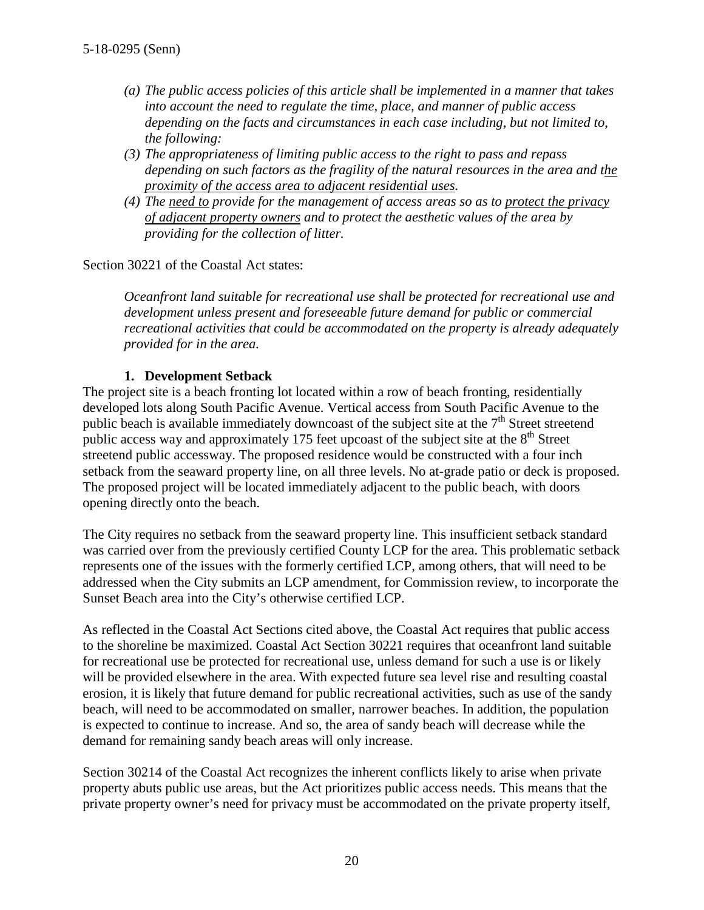- *(a) The public access policies of this article shall be implemented in a manner that takes into account the need to regulate the time, place, and manner of public access depending on the facts and circumstances in each case including, but not limited to, the following:*
- *(3) The appropriateness of limiting public access to the right to pass and repass depending on such factors as the fragility of the natural resources in the area and the proximity of the access area to adjacent residential uses.*
- *(4) The need to provide for the management of access areas so as to protect the privacy of adjacent property owners and to protect the aesthetic values of the area by providing for the collection of litter.*

Section 30221 of the Coastal Act states:

*Oceanfront land suitable for recreational use shall be protected for recreational use and development unless present and foreseeable future demand for public or commercial recreational activities that could be accommodated on the property is already adequately provided for in the area.* 

#### **1. Development Setback**

The project site is a beach fronting lot located within a row of beach fronting, residentially developed lots along South Pacific Avenue. Vertical access from South Pacific Avenue to the public beach is available immediately downcoast of the subject site at the  $7<sup>th</sup>$  Street streetend public access way and approximately 175 feet upcoast of the subject site at the  $8<sup>th</sup>$  Street streetend public accessway. The proposed residence would be constructed with a four inch setback from the seaward property line, on all three levels. No at-grade patio or deck is proposed. The proposed project will be located immediately adjacent to the public beach, with doors opening directly onto the beach.

The City requires no setback from the seaward property line. This insufficient setback standard was carried over from the previously certified County LCP for the area. This problematic setback represents one of the issues with the formerly certified LCP, among others, that will need to be addressed when the City submits an LCP amendment, for Commission review, to incorporate the Sunset Beach area into the City's otherwise certified LCP.

As reflected in the Coastal Act Sections cited above, the Coastal Act requires that public access to the shoreline be maximized. Coastal Act Section 30221 requires that oceanfront land suitable for recreational use be protected for recreational use, unless demand for such a use is or likely will be provided elsewhere in the area. With expected future sea level rise and resulting coastal erosion, it is likely that future demand for public recreational activities, such as use of the sandy beach, will need to be accommodated on smaller, narrower beaches. In addition, the population is expected to continue to increase. And so, the area of sandy beach will decrease while the demand for remaining sandy beach areas will only increase.

Section 30214 of the Coastal Act recognizes the inherent conflicts likely to arise when private property abuts public use areas, but the Act prioritizes public access needs. This means that the private property owner's need for privacy must be accommodated on the private property itself,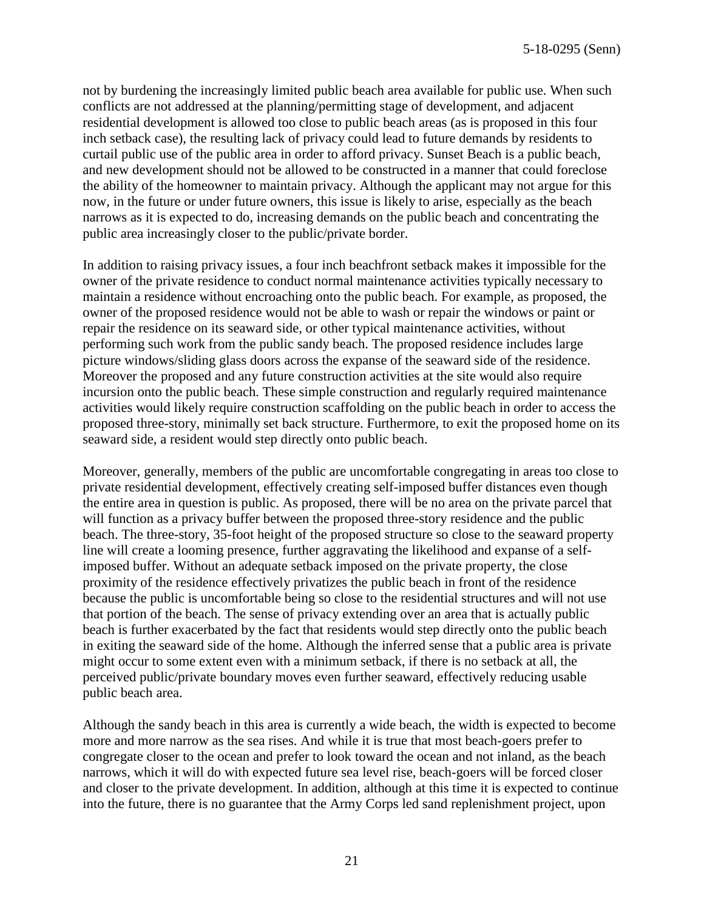not by burdening the increasingly limited public beach area available for public use. When such conflicts are not addressed at the planning/permitting stage of development, and adjacent residential development is allowed too close to public beach areas (as is proposed in this four inch setback case), the resulting lack of privacy could lead to future demands by residents to curtail public use of the public area in order to afford privacy. Sunset Beach is a public beach, and new development should not be allowed to be constructed in a manner that could foreclose the ability of the homeowner to maintain privacy. Although the applicant may not argue for this now, in the future or under future owners, this issue is likely to arise, especially as the beach narrows as it is expected to do, increasing demands on the public beach and concentrating the public area increasingly closer to the public/private border.

In addition to raising privacy issues, a four inch beachfront setback makes it impossible for the owner of the private residence to conduct normal maintenance activities typically necessary to maintain a residence without encroaching onto the public beach. For example, as proposed, the owner of the proposed residence would not be able to wash or repair the windows or paint or repair the residence on its seaward side, or other typical maintenance activities, without performing such work from the public sandy beach. The proposed residence includes large picture windows/sliding glass doors across the expanse of the seaward side of the residence. Moreover the proposed and any future construction activities at the site would also require incursion onto the public beach. These simple construction and regularly required maintenance activities would likely require construction scaffolding on the public beach in order to access the proposed three-story, minimally set back structure. Furthermore, to exit the proposed home on its seaward side, a resident would step directly onto public beach.

Moreover, generally, members of the public are uncomfortable congregating in areas too close to private residential development, effectively creating self-imposed buffer distances even though the entire area in question is public. As proposed, there will be no area on the private parcel that will function as a privacy buffer between the proposed three-story residence and the public beach. The three-story, 35-foot height of the proposed structure so close to the seaward property line will create a looming presence, further aggravating the likelihood and expanse of a selfimposed buffer. Without an adequate setback imposed on the private property, the close proximity of the residence effectively privatizes the public beach in front of the residence because the public is uncomfortable being so close to the residential structures and will not use that portion of the beach. The sense of privacy extending over an area that is actually public beach is further exacerbated by the fact that residents would step directly onto the public beach in exiting the seaward side of the home. Although the inferred sense that a public area is private might occur to some extent even with a minimum setback, if there is no setback at all, the perceived public/private boundary moves even further seaward, effectively reducing usable public beach area.

Although the sandy beach in this area is currently a wide beach, the width is expected to become more and more narrow as the sea rises. And while it is true that most beach-goers prefer to congregate closer to the ocean and prefer to look toward the ocean and not inland, as the beach narrows, which it will do with expected future sea level rise, beach-goers will be forced closer and closer to the private development. In addition, although at this time it is expected to continue into the future, there is no guarantee that the Army Corps led sand replenishment project, upon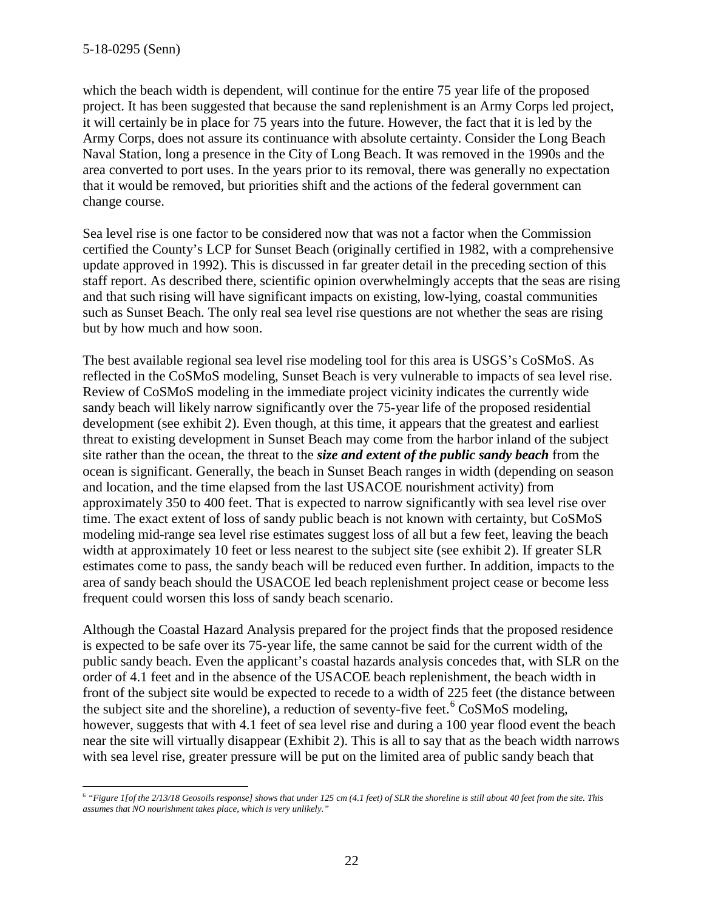which the beach width is dependent, will continue for the entire 75 year life of the proposed project. It has been suggested that because the sand replenishment is an Army Corps led project, it will certainly be in place for 75 years into the future. However, the fact that it is led by the Army Corps, does not assure its continuance with absolute certainty. Consider the Long Beach Naval Station, long a presence in the City of Long Beach. It was removed in the 1990s and the area converted to port uses. In the years prior to its removal, there was generally no expectation that it would be removed, but priorities shift and the actions of the federal government can change course.

Sea level rise is one factor to be considered now that was not a factor when the Commission certified the County's LCP for Sunset Beach (originally certified in 1982, with a comprehensive update approved in 1992). This is discussed in far greater detail in the preceding section of this staff report. As described there, scientific opinion overwhelmingly accepts that the seas are rising and that such rising will have significant impacts on existing, low-lying, coastal communities such as Sunset Beach. The only real sea level rise questions are not whether the seas are rising but by how much and how soon.

The best available regional sea level rise modeling tool for this area is USGS's CoSMoS. As reflected in the CoSMoS modeling, Sunset Beach is very vulnerable to impacts of sea level rise. Review of CoSMoS modeling in the immediate project vicinity indicates the currently wide sandy beach will likely narrow significantly over the 75-year life of the proposed residential development (see exhibit 2). Even though, at this time, it appears that the greatest and earliest threat to existing development in Sunset Beach may come from the harbor inland of the subject site rather than the ocean, the threat to the *size and extent of the public sandy beach* from the ocean is significant. Generally, the beach in Sunset Beach ranges in width (depending on season and location, and the time elapsed from the last USACOE nourishment activity) from approximately 350 to 400 feet. That is expected to narrow significantly with sea level rise over time. The exact extent of loss of sandy public beach is not known with certainty, but CoSMoS modeling mid-range sea level rise estimates suggest loss of all but a few feet, leaving the beach width at approximately 10 feet or less nearest to the subject site (see exhibit 2). If greater SLR estimates come to pass, the sandy beach will be reduced even further. In addition, impacts to the area of sandy beach should the USACOE led beach replenishment project cease or become less frequent could worsen this loss of sandy beach scenario.

Although the Coastal Hazard Analysis prepared for the project finds that the proposed residence is expected to be safe over its 75-year life, the same cannot be said for the current width of the public sandy beach. Even the applicant's coastal hazards analysis concedes that, with SLR on the order of 4.1 feet and in the absence of the USACOE beach replenishment, the beach width in front of the subject site would be expected to recede to a width of 225 feet (the distance between the subject site and the shoreline), a reduction of seventy-five feet.<sup>[6](#page-21-0)</sup> CoSMoS modeling, however, suggests that with 4.1 feet of sea level rise and during a 100 year flood event the beach near the site will virtually disappear (Exhibit 2). This is all to say that as the beach width narrows with sea level rise, greater pressure will be put on the limited area of public sandy beach that

<span id="page-21-0"></span> $\overline{a}$ <sup>6</sup> *"Figure 1[of the 2/13/18 Geosoils response] shows that under 125 cm (4.1 feet) of SLR the shoreline is still about 40 feet from the site. This assumes that NO nourishment takes place, which is very unlikely."*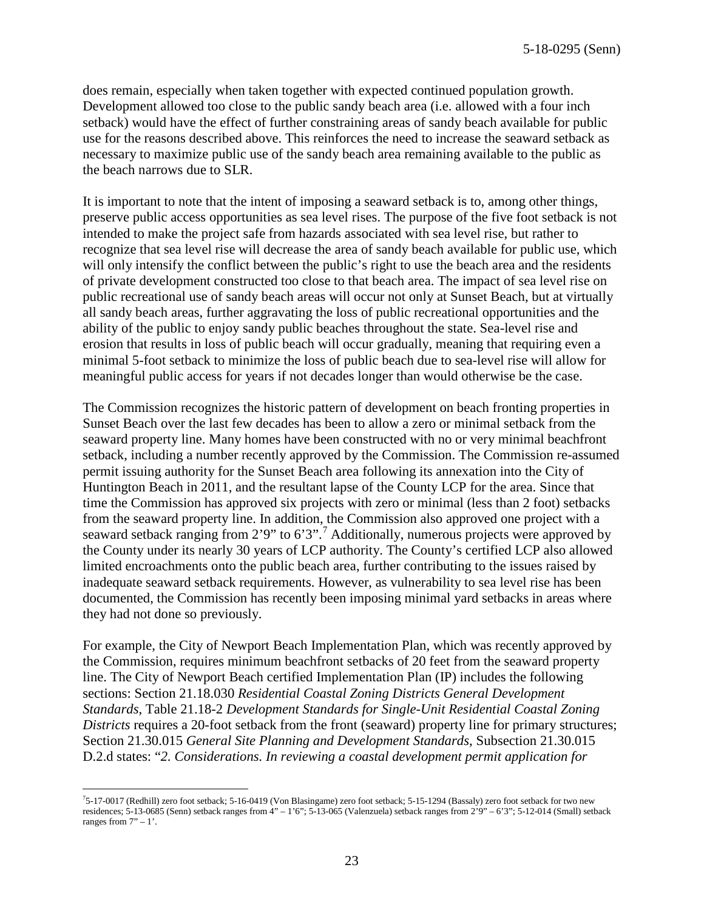does remain, especially when taken together with expected continued population growth. Development allowed too close to the public sandy beach area (i.e. allowed with a four inch setback) would have the effect of further constraining areas of sandy beach available for public use for the reasons described above. This reinforces the need to increase the seaward setback as necessary to maximize public use of the sandy beach area remaining available to the public as the beach narrows due to SLR.

It is important to note that the intent of imposing a seaward setback is to, among other things, preserve public access opportunities as sea level rises. The purpose of the five foot setback is not intended to make the project safe from hazards associated with sea level rise, but rather to recognize that sea level rise will decrease the area of sandy beach available for public use, which will only intensify the conflict between the public's right to use the beach area and the residents of private development constructed too close to that beach area. The impact of sea level rise on public recreational use of sandy beach areas will occur not only at Sunset Beach, but at virtually all sandy beach areas, further aggravating the loss of public recreational opportunities and the ability of the public to enjoy sandy public beaches throughout the state. Sea-level rise and erosion that results in loss of public beach will occur gradually, meaning that requiring even a minimal 5-foot setback to minimize the loss of public beach due to sea-level rise will allow for meaningful public access for years if not decades longer than would otherwise be the case.

The Commission recognizes the historic pattern of development on beach fronting properties in Sunset Beach over the last few decades has been to allow a zero or minimal setback from the seaward property line. Many homes have been constructed with no or very minimal beachfront setback, including a number recently approved by the Commission. The Commission re-assumed permit issuing authority for the Sunset Beach area following its annexation into the City of Huntington Beach in 2011, and the resultant lapse of the County LCP for the area. Since that time the Commission has approved six projects with zero or minimal (less than 2 foot) setbacks from the seaward property line. In addition, the Commission also approved one project with a seaward setback ranging from 2'9" to 6'3".<sup>[7](#page-22-0)</sup> Additionally, numerous projects were approved by the County under its nearly 30 years of LCP authority. The County's certified LCP also allowed limited encroachments onto the public beach area, further contributing to the issues raised by inadequate seaward setback requirements. However, as vulnerability to sea level rise has been documented, the Commission has recently been imposing minimal yard setbacks in areas where they had not done so previously.

For example, the City of Newport Beach Implementation Plan, which was recently approved by the Commission, requires minimum beachfront setbacks of 20 feet from the seaward property line. The City of Newport Beach certified Implementation Plan (IP) includes the following sections: Section 21.18.030 *Residential Coastal Zoning Districts General Development Standards*, Table 21.18-2 *Development Standards for Single-Unit Residential Coastal Zoning Districts* requires a 20-foot setback from the front (seaward) property line for primary structures; Section 21.30.015 *General Site Planning and Development Standards*, Subsection 21.30.015 D.2.d states: "*2. Considerations. In reviewing a coastal development permit application for* 

<span id="page-22-0"></span> $\overline{a}$ 7 5-17-0017 (Redhill) zero foot setback; 5-16-0419 (Von Blasingame) zero foot setback; 5-15-1294 (Bassaly) zero foot setback for two new residences; 5-13-0685 (Senn) setback ranges from 4" – 1'6"; 5-13-065 (Valenzuela) setback ranges from 2'9" – 6'3"; 5-12-014 (Small) setback ranges from  $7" - 1$ '.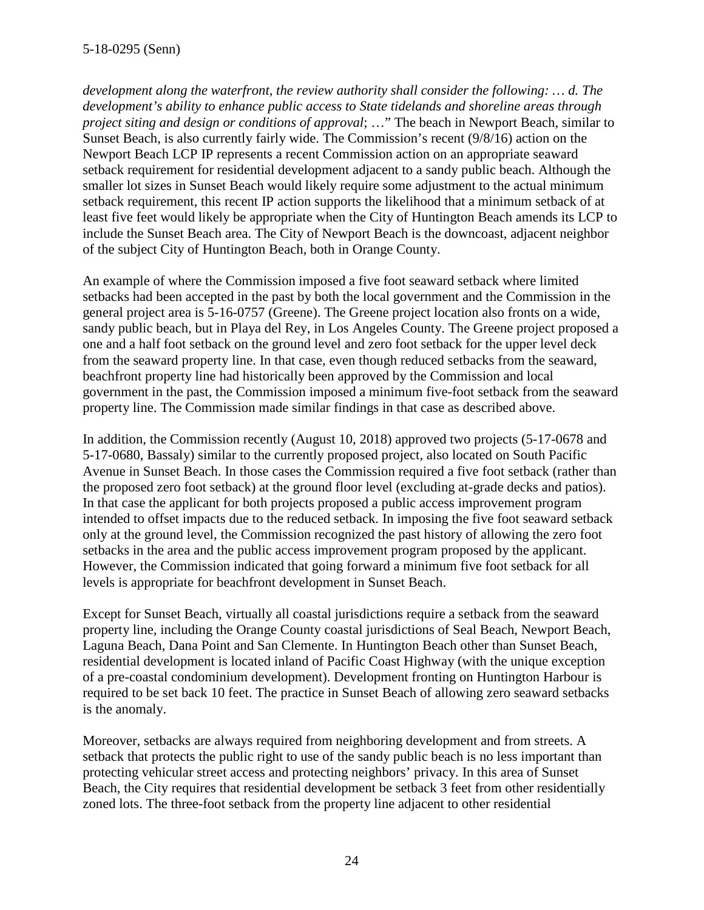*development along the waterfront, the review authority shall consider the following: … d. The development's ability to enhance public access to State tidelands and shoreline areas through project siting and design or conditions of approval*; …" The beach in Newport Beach, similar to Sunset Beach, is also currently fairly wide. The Commission's recent (9/8/16) action on the Newport Beach LCP IP represents a recent Commission action on an appropriate seaward setback requirement for residential development adjacent to a sandy public beach. Although the smaller lot sizes in Sunset Beach would likely require some adjustment to the actual minimum setback requirement, this recent IP action supports the likelihood that a minimum setback of at least five feet would likely be appropriate when the City of Huntington Beach amends its LCP to include the Sunset Beach area. The City of Newport Beach is the downcoast, adjacent neighbor of the subject City of Huntington Beach, both in Orange County.

An example of where the Commission imposed a five foot seaward setback where limited setbacks had been accepted in the past by both the local government and the Commission in the general project area is 5-16-0757 (Greene). The Greene project location also fronts on a wide, sandy public beach, but in Playa del Rey, in Los Angeles County. The Greene project proposed a one and a half foot setback on the ground level and zero foot setback for the upper level deck from the seaward property line. In that case, even though reduced setbacks from the seaward, beachfront property line had historically been approved by the Commission and local government in the past, the Commission imposed a minimum five-foot setback from the seaward property line. The Commission made similar findings in that case as described above.

In addition, the Commission recently (August 10, 2018) approved two projects (5-17-0678 and 5-17-0680, Bassaly) similar to the currently proposed project, also located on South Pacific Avenue in Sunset Beach. In those cases the Commission required a five foot setback (rather than the proposed zero foot setback) at the ground floor level (excluding at-grade decks and patios). In that case the applicant for both projects proposed a public access improvement program intended to offset impacts due to the reduced setback. In imposing the five foot seaward setback only at the ground level, the Commission recognized the past history of allowing the zero foot setbacks in the area and the public access improvement program proposed by the applicant. However, the Commission indicated that going forward a minimum five foot setback for all levels is appropriate for beachfront development in Sunset Beach.

Except for Sunset Beach, virtually all coastal jurisdictions require a setback from the seaward property line, including the Orange County coastal jurisdictions of Seal Beach, Newport Beach, Laguna Beach, Dana Point and San Clemente. In Huntington Beach other than Sunset Beach, residential development is located inland of Pacific Coast Highway (with the unique exception of a pre-coastal condominium development). Development fronting on Huntington Harbour is required to be set back 10 feet. The practice in Sunset Beach of allowing zero seaward setbacks is the anomaly.

Moreover, setbacks are always required from neighboring development and from streets. A setback that protects the public right to use of the sandy public beach is no less important than protecting vehicular street access and protecting neighbors' privacy. In this area of Sunset Beach, the City requires that residential development be setback 3 feet from other residentially zoned lots. The three-foot setback from the property line adjacent to other residential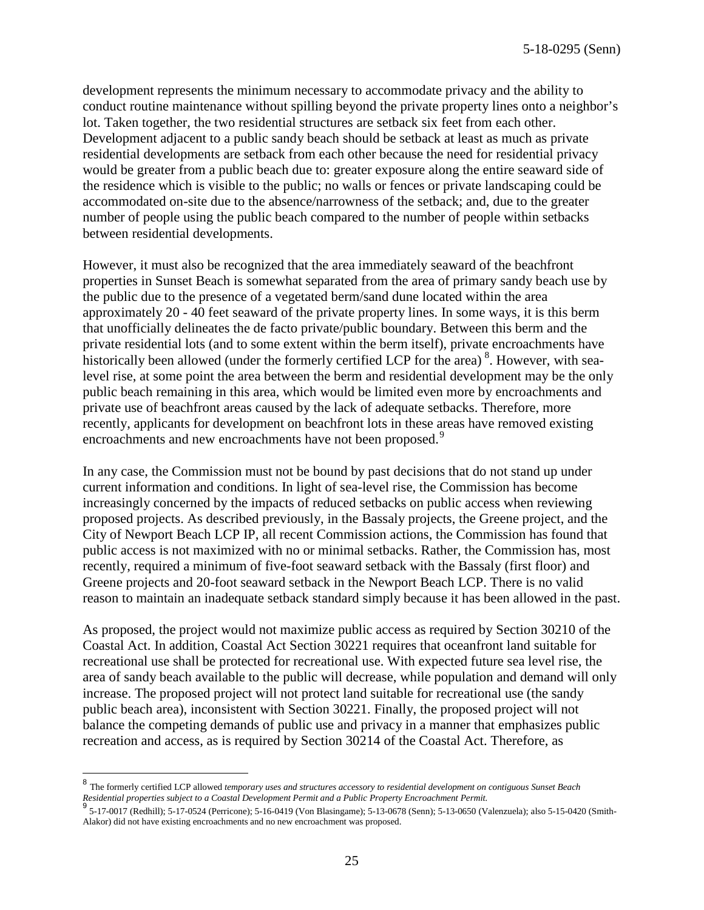development represents the minimum necessary to accommodate privacy and the ability to conduct routine maintenance without spilling beyond the private property lines onto a neighbor's lot. Taken together, the two residential structures are setback six feet from each other. Development adjacent to a public sandy beach should be setback at least as much as private residential developments are setback from each other because the need for residential privacy would be greater from a public beach due to: greater exposure along the entire seaward side of the residence which is visible to the public; no walls or fences or private landscaping could be accommodated on-site due to the absence/narrowness of the setback; and, due to the greater number of people using the public beach compared to the number of people within setbacks between residential developments.

However, it must also be recognized that the area immediately seaward of the beachfront properties in Sunset Beach is somewhat separated from the area of primary sandy beach use by the public due to the presence of a vegetated berm/sand dune located within the area approximately 20 - 40 feet seaward of the private property lines. In some ways, it is this berm that unofficially delineates the de facto private/public boundary. Between this berm and the private residential lots (and to some extent within the berm itself), private encroachments have historically been allowed (under the formerly certified LCP for the area)<sup>[8](#page-24-0)</sup>. However, with sealevel rise, at some point the area between the berm and residential development may be the only public beach remaining in this area, which would be limited even more by encroachments and private use of beachfront areas caused by the lack of adequate setbacks. Therefore, more recently, applicants for development on beachfront lots in these areas have removed existing encroachments and new encroachments have not been proposed.<sup>[9](#page-24-1)</sup>

In any case, the Commission must not be bound by past decisions that do not stand up under current information and conditions. In light of sea-level rise, the Commission has become increasingly concerned by the impacts of reduced setbacks on public access when reviewing proposed projects. As described previously, in the Bassaly projects, the Greene project, and the City of Newport Beach LCP IP, all recent Commission actions, the Commission has found that public access is not maximized with no or minimal setbacks. Rather, the Commission has, most recently, required a minimum of five-foot seaward setback with the Bassaly (first floor) and Greene projects and 20-foot seaward setback in the Newport Beach LCP. There is no valid reason to maintain an inadequate setback standard simply because it has been allowed in the past.

As proposed, the project would not maximize public access as required by Section 30210 of the Coastal Act. In addition, Coastal Act Section 30221 requires that oceanfront land suitable for recreational use shall be protected for recreational use. With expected future sea level rise, the area of sandy beach available to the public will decrease, while population and demand will only increase. The proposed project will not protect land suitable for recreational use (the sandy public beach area), inconsistent with Section 30221. Finally, the proposed project will not balance the competing demands of public use and privacy in a manner that emphasizes public recreation and access, as is required by Section 30214 of the Coastal Act. Therefore, as

 $\overline{a}$ 

<span id="page-24-0"></span><sup>8</sup> The formerly certified LCP allowed *temporary uses and structures accessory to residential development on contiguous Sunset Beach Residential properties subject to a Coastal Development Permit and a Public Property Encroachment Permit.*<br>9 5 13 0017 (D. J. J.), 5 17 0504 (D. J.), 5 16 0410 (M. J. D. J.), 5 12 0679 (S. J.), 5 12 0650 (M

<span id="page-24-1"></span> <sup>5-17-0017 (</sup>Redhill); 5-17-0524 (Perricone); 5-16-0419 (Von Blasingame); 5-13-0678 (Senn); 5-13-0650 (Valenzuela); also 5-15-0420 (Smith-Alakor) did not have existing encroachments and no new encroachment was proposed.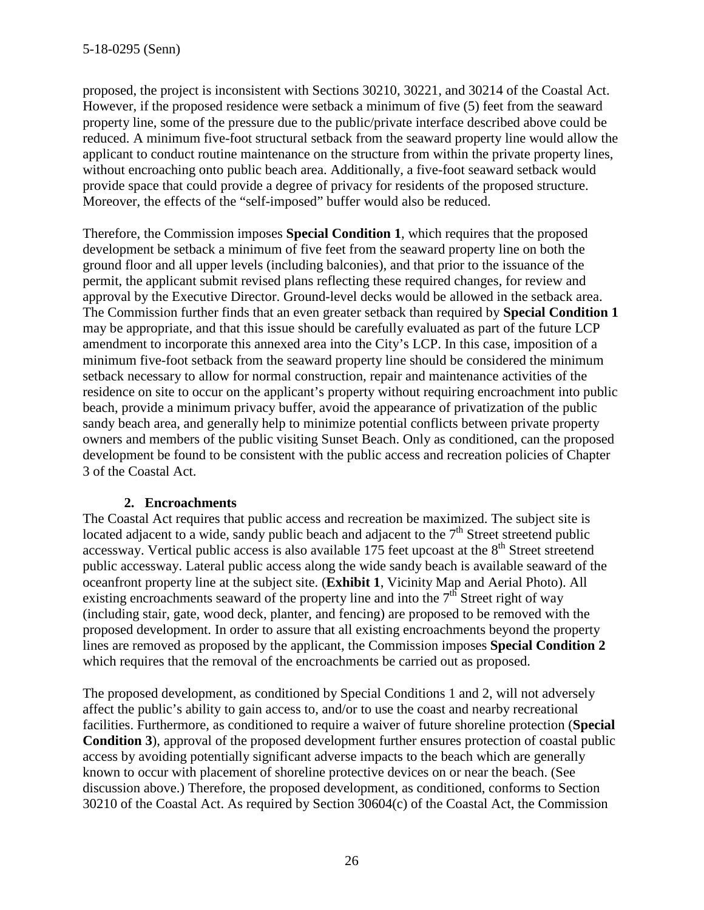proposed, the project is inconsistent with Sections 30210, 30221, and 30214 of the Coastal Act. However, if the proposed residence were setback a minimum of five (5) feet from the seaward property line, some of the pressure due to the public/private interface described above could be reduced. A minimum five-foot structural setback from the seaward property line would allow the applicant to conduct routine maintenance on the structure from within the private property lines, without encroaching onto public beach area. Additionally, a five-foot seaward setback would provide space that could provide a degree of privacy for residents of the proposed structure. Moreover, the effects of the "self-imposed" buffer would also be reduced.

Therefore, the Commission imposes **Special Condition 1**, which requires that the proposed development be setback a minimum of five feet from the seaward property line on both the ground floor and all upper levels (including balconies), and that prior to the issuance of the permit, the applicant submit revised plans reflecting these required changes, for review and approval by the Executive Director. Ground-level decks would be allowed in the setback area. The Commission further finds that an even greater setback than required by **Special Condition 1** may be appropriate, and that this issue should be carefully evaluated as part of the future LCP amendment to incorporate this annexed area into the City's LCP. In this case, imposition of a minimum five-foot setback from the seaward property line should be considered the minimum setback necessary to allow for normal construction, repair and maintenance activities of the residence on site to occur on the applicant's property without requiring encroachment into public beach, provide a minimum privacy buffer, avoid the appearance of privatization of the public sandy beach area, and generally help to minimize potential conflicts between private property owners and members of the public visiting Sunset Beach. Only as conditioned, can the proposed development be found to be consistent with the public access and recreation policies of Chapter 3 of the Coastal Act.

#### **2. Encroachments**

The Coastal Act requires that public access and recreation be maximized. The subject site is located adjacent to a wide, sandy public beach and adjacent to the  $7<sup>th</sup>$  Street streetend public accessway. Vertical public access is also available  $175$  feet upcoast at the  $8<sup>th</sup>$  Street streetend public accessway. Lateral public access along the wide sandy beach is available seaward of the oceanfront property line at the subject site. (**Exhibit 1**, Vicinity Map and Aerial Photo). All existing encroachments seaward of the property line and into the  $7<sup>th</sup>$  Street right of way (including stair, gate, wood deck, planter, and fencing) are proposed to be removed with the proposed development. In order to assure that all existing encroachments beyond the property lines are removed as proposed by the applicant, the Commission imposes **Special Condition 2** which requires that the removal of the encroachments be carried out as proposed.

The proposed development, as conditioned by Special Conditions 1 and 2, will not adversely affect the public's ability to gain access to, and/or to use the coast and nearby recreational facilities. Furthermore, as conditioned to require a waiver of future shoreline protection (**Special Condition 3**), approval of the proposed development further ensures protection of coastal public access by avoiding potentially significant adverse impacts to the beach which are generally known to occur with placement of shoreline protective devices on or near the beach. (See discussion above.) Therefore, the proposed development, as conditioned, conforms to Section 30210 of the Coastal Act. As required by Section 30604(c) of the Coastal Act, the Commission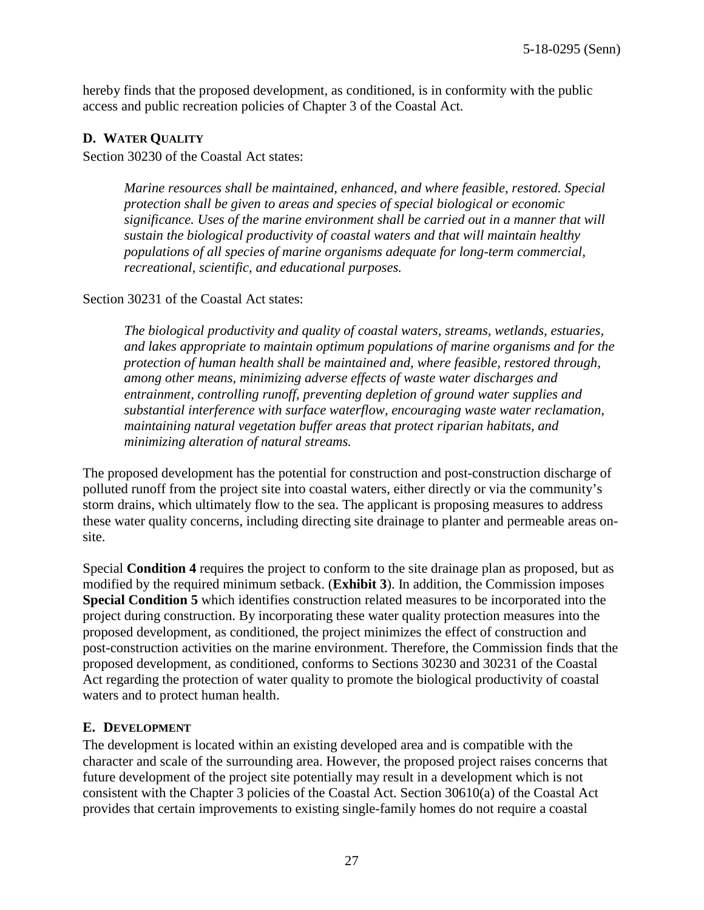hereby finds that the proposed development, as conditioned, is in conformity with the public access and public recreation policies of Chapter 3 of the Coastal Act.

#### **D. WATER QUALITY**

Section 30230 of the Coastal Act states:

*Marine resources shall be maintained, enhanced, and where feasible, restored. Special protection shall be given to areas and species of special biological or economic significance. Uses of the marine environment shall be carried out in a manner that will sustain the biological productivity of coastal waters and that will maintain healthy populations of all species of marine organisms adequate for long-term commercial, recreational, scientific, and educational purposes.* 

Section 30231 of the Coastal Act states:

*The biological productivity and quality of coastal waters, streams, wetlands, estuaries, and lakes appropriate to maintain optimum populations of marine organisms and for the protection of human health shall be maintained and, where feasible, restored through, among other means, minimizing adverse effects of waste water discharges and entrainment, controlling runoff, preventing depletion of ground water supplies and substantial interference with surface waterflow, encouraging waste water reclamation, maintaining natural vegetation buffer areas that protect riparian habitats, and minimizing alteration of natural streams.*

The proposed development has the potential for construction and post-construction discharge of polluted runoff from the project site into coastal waters, either directly or via the community's storm drains, which ultimately flow to the sea. The applicant is proposing measures to address these water quality concerns, including directing site drainage to planter and permeable areas onsite.

Special **Condition 4** requires the project to conform to the site drainage plan as proposed, but as modified by the required minimum setback. (**Exhibit 3**). In addition, the Commission imposes **Special Condition 5** which identifies construction related measures to be incorporated into the project during construction. By incorporating these water quality protection measures into the proposed development, as conditioned, the project minimizes the effect of construction and post-construction activities on the marine environment. Therefore, the Commission finds that the proposed development, as conditioned, conforms to Sections 30230 and 30231 of the Coastal Act regarding the protection of water quality to promote the biological productivity of coastal waters and to protect human health.

#### **E. DEVELOPMENT**

The development is located within an existing developed area and is compatible with the character and scale of the surrounding area. However, the proposed project raises concerns that future development of the project site potentially may result in a development which is not consistent with the Chapter 3 policies of the Coastal Act. Section 30610(a) of the Coastal Act provides that certain improvements to existing single-family homes do not require a coastal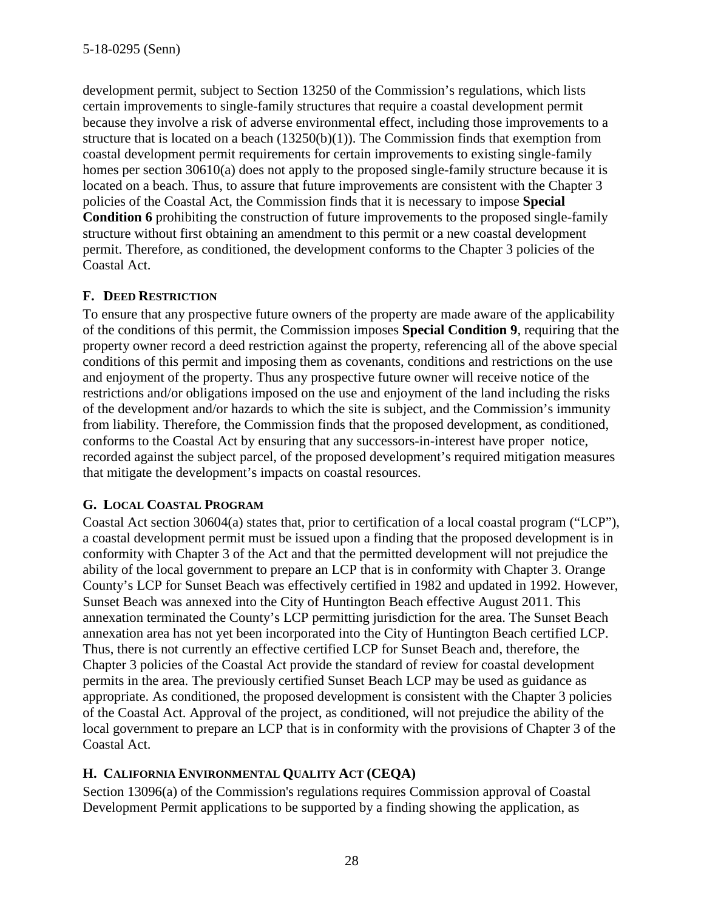development permit, subject to Section 13250 of the Commission's regulations, which lists certain improvements to single-family structures that require a coastal development permit because they involve a risk of adverse environmental effect, including those improvements to a structure that is located on a beach (13250(b)(1)). The Commission finds that exemption from coastal development permit requirements for certain improvements to existing single-family homes per section 30610(a) does not apply to the proposed single-family structure because it is located on a beach. Thus, to assure that future improvements are consistent with the Chapter 3 policies of the Coastal Act, the Commission finds that it is necessary to impose **Special Condition 6** prohibiting the construction of future improvements to the proposed single-family structure without first obtaining an amendment to this permit or a new coastal development permit. Therefore, as conditioned, the development conforms to the Chapter 3 policies of the Coastal Act.

#### **F. DEED RESTRICTION**

To ensure that any prospective future owners of the property are made aware of the applicability of the conditions of this permit, the Commission imposes **Special Condition 9**, requiring that the property owner record a deed restriction against the property, referencing all of the above special conditions of this permit and imposing them as covenants, conditions and restrictions on the use and enjoyment of the property. Thus any prospective future owner will receive notice of the restrictions and/or obligations imposed on the use and enjoyment of the land including the risks of the development and/or hazards to which the site is subject, and the Commission's immunity from liability. Therefore, the Commission finds that the proposed development, as conditioned, conforms to the Coastal Act by ensuring that any successors-in-interest have proper notice, recorded against the subject parcel, of the proposed development's required mitigation measures that mitigate the development's impacts on coastal resources.

#### **G. LOCAL COASTAL PROGRAM**

Coastal Act section 30604(a) states that, prior to certification of a local coastal program ("LCP"), a coastal development permit must be issued upon a finding that the proposed development is in conformity with Chapter 3 of the Act and that the permitted development will not prejudice the ability of the local government to prepare an LCP that is in conformity with Chapter 3. Orange County's LCP for Sunset Beach was effectively certified in 1982 and updated in 1992. However, Sunset Beach was annexed into the City of Huntington Beach effective August 2011. This annexation terminated the County's LCP permitting jurisdiction for the area. The Sunset Beach annexation area has not yet been incorporated into the City of Huntington Beach certified LCP. Thus, there is not currently an effective certified LCP for Sunset Beach and, therefore, the Chapter 3 policies of the Coastal Act provide the standard of review for coastal development permits in the area. The previously certified Sunset Beach LCP may be used as guidance as appropriate. As conditioned, the proposed development is consistent with the Chapter 3 policies of the Coastal Act. Approval of the project, as conditioned, will not prejudice the ability of the local government to prepare an LCP that is in conformity with the provisions of Chapter 3 of the Coastal Act.

## **H. CALIFORNIA ENVIRONMENTAL QUALITY ACT (CEQA)**

Section 13096(a) of the Commission's regulations requires Commission approval of Coastal Development Permit applications to be supported by a finding showing the application, as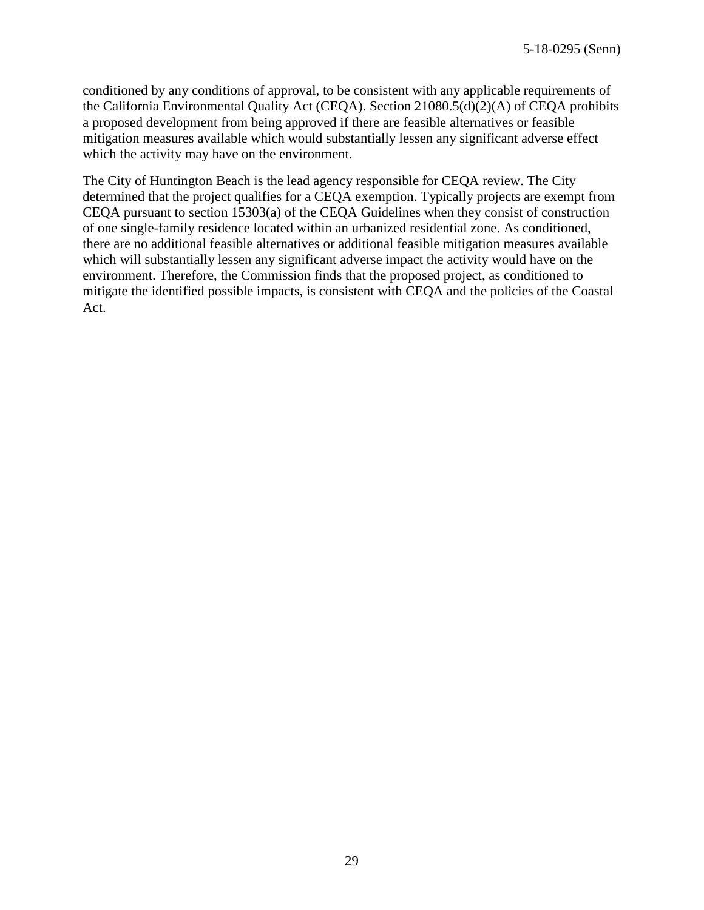conditioned by any conditions of approval, to be consistent with any applicable requirements of the California Environmental Quality Act (CEQA). Section 21080.5(d)(2)(A) of CEQA prohibits a proposed development from being approved if there are feasible alternatives or feasible mitigation measures available which would substantially lessen any significant adverse effect which the activity may have on the environment.

The City of Huntington Beach is the lead agency responsible for CEQA review. The City determined that the project qualifies for a CEQA exemption. Typically projects are exempt from CEQA pursuant to section 15303(a) of the CEQA Guidelines when they consist of construction of one single-family residence located within an urbanized residential zone. As conditioned, there are no additional feasible alternatives or additional feasible mitigation measures available which will substantially lessen any significant adverse impact the activity would have on the environment. Therefore, the Commission finds that the proposed project, as conditioned to mitigate the identified possible impacts, is consistent with CEQA and the policies of the Coastal Act.